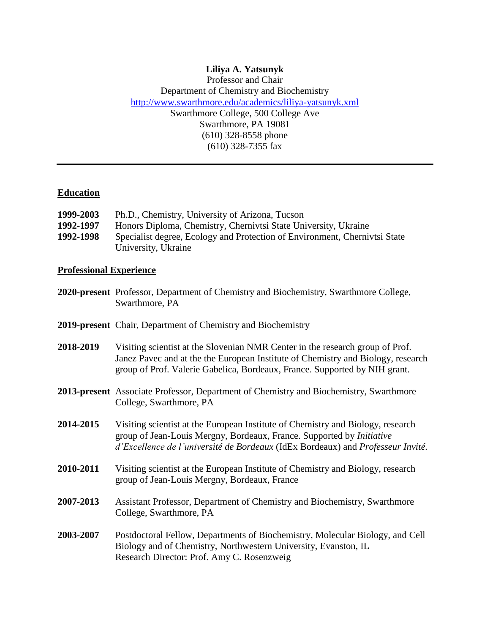## **Liliya A. Yatsunyk**  Professor and Chair Department of Chemistry and Biochemistry http://www.swarthmore.edu/academics/liliya-yatsunyk.xml Swarthmore College, 500 College Ave Swarthmore, PA 19081 (610) 328-8558 phone  $(610)$  328-7355 fax

## **Education**

| 1999-2003 | Ph.D., Chemistry, University of Arizona, Tucson                            |
|-----------|----------------------------------------------------------------------------|
| 1992-1997 | Honors Diploma, Chemistry, Chernivtsi State University, Ukraine            |
| 1992-1998 | Specialist degree, Ecology and Protection of Environment, Chernivtsi State |
|           | University, Ukraine                                                        |

# **Professional Experience**

|           | 2020-present Professor, Department of Chemistry and Biochemistry, Swarthmore College,<br>Swarthmore, PA                                                                                                                                            |
|-----------|----------------------------------------------------------------------------------------------------------------------------------------------------------------------------------------------------------------------------------------------------|
|           | <b>2019-present</b> Chair, Department of Chemistry and Biochemistry                                                                                                                                                                                |
| 2018-2019 | Visiting scientist at the Slovenian NMR Center in the research group of Prof.<br>Janez Pavec and at the the European Institute of Chemistry and Biology, research<br>group of Prof. Valerie Gabelica, Bordeaux, France. Supported by NIH grant.    |
|           | <b>2013-present</b> Associate Professor, Department of Chemistry and Biochemistry, Swarthmore<br>College, Swarthmore, PA                                                                                                                           |
| 2014-2015 | Visiting scientist at the European Institute of Chemistry and Biology, research<br>group of Jean-Louis Mergny, Bordeaux, France. Supported by <i>Initiative</i><br>d'Excellence de l'université de Bordeaux (IdEx Bordeaux) and Professeur Invité. |
| 2010-2011 | Visiting scientist at the European Institute of Chemistry and Biology, research<br>group of Jean-Louis Mergny, Bordeaux, France                                                                                                                    |
| 2007-2013 | Assistant Professor, Department of Chemistry and Biochemistry, Swarthmore<br>College, Swarthmore, PA                                                                                                                                               |
| 2003-2007 | Postdoctoral Fellow, Departments of Biochemistry, Molecular Biology, and Cell<br>Biology and of Chemistry, Northwestern University, Evanston, IL<br>Research Director: Prof. Amy C. Rosenzweig                                                     |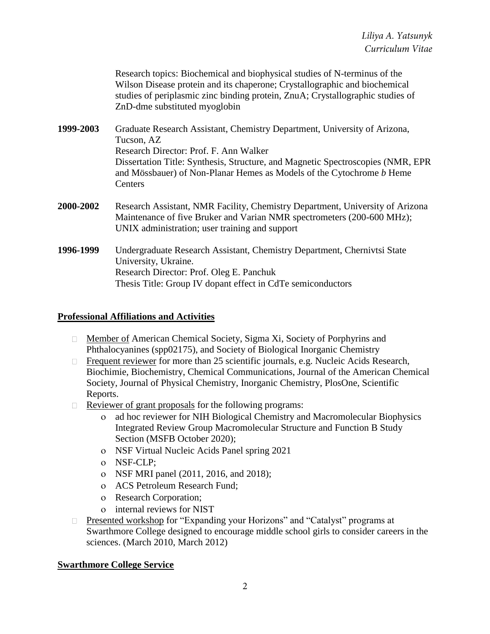Research topics: Biochemical and biophysical studies of N-terminus of the Wilson Disease protein and its chaperone; Crystallographic and biochemical studies of periplasmic zinc binding protein, ZnuA; Crystallographic studies of ZnD-dme substituted myoglobin

**1999-2003** Graduate Research Assistant, Chemistry Department, University of Arizona, Tucson, AZ Research Director: Prof. F. Ann Walker Dissertation Title: Synthesis, Structure, and Magnetic Spectroscopies (NMR, EPR and Mössbauer) of Non-Planar Hemes as Models of the Cytochrome *b* Heme **Centers** 

- **2000-2002** Research Assistant, NMR Facility, Chemistry Department, University of Arizona Maintenance of five Bruker and Varian NMR spectrometers (200-600 MHz); UNIX administration; user training and support
- **1996-1999** Undergraduate Research Assistant, Chemistry Department, Chernivtsi State University, Ukraine. Research Director: Prof. Oleg E. Panchuk Thesis Title: Group IV dopant effect in CdTe semiconductors

## **Professional Affiliations and Activities**

- □ Member of American Chemical Society, Sigma Xi, Society of Porphyrins and Phthalocyanines (spp02175), and Society of Biological Inorganic Chemistry
- □ Frequent reviewer for more than 25 scientific journals, e.g. Nucleic Acids Research, Biochimie, Biochemistry, Chemical Communications, Journal of the American Chemical Society, Journal of Physical Chemistry, Inorganic Chemistry, PlosOne, Scientific Reports.
- $\Box$  Reviewer of grant proposals for the following programs:
	- ad hoc reviewer for NIH Biological Chemistry and Macromolecular Biophysics Integrated Review Group Macromolecular Structure and Function B Study Section (MSFB October 2020);
	- NSF Virtual Nucleic Acids Panel spring 2021
	- NSF-CLP;
	- NSF MRI panel (2011, 2016, and 2018);
	- ACS Petroleum Research Fund;
	- o Research Corporation;
	- internal reviews for NIST
- Presented workshop for "Expanding your Horizons" and "Catalyst" programs at Swarthmore College designed to encourage middle school girls to consider careers in the sciences. (March 2010, March 2012)

## **Swarthmore College Service**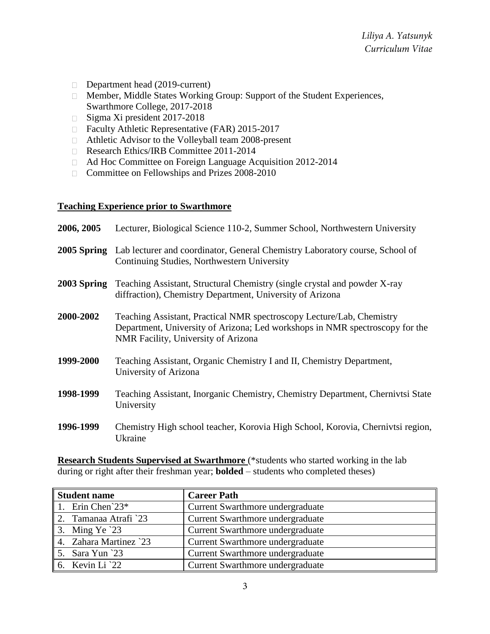- Department head (2019-current)
- Member, Middle States Working Group: Support of the Student Experiences, Swarthmore College, 2017-2018
- □ Sigma Xi president 2017-2018
- □ Faculty Athletic Representative (FAR) 2015-2017
- Athletic Advisor to the Volleyball team 2008-present
- Research Ethics/IRB Committee 2011-2014
- Ad Hoc Committee on Foreign Language Acquisition 2012-2014
- □ Committee on Fellowships and Prizes 2008-2010

## **Teaching Experience prior to Swarthmore**

| 2006, 2005  | Lecturer, Biological Science 110-2, Summer School, Northwestern University                                                                                                                   |
|-------------|----------------------------------------------------------------------------------------------------------------------------------------------------------------------------------------------|
|             | <b>2005 Spring</b> Lab lecturer and coordinator, General Chemistry Laboratory course, School of<br>Continuing Studies, Northwestern University                                               |
| 2003 Spring | Teaching Assistant, Structural Chemistry (single crystal and powder X-ray<br>diffraction), Chemistry Department, University of Arizona                                                       |
| 2000-2002   | Teaching Assistant, Practical NMR spectroscopy Lecture/Lab, Chemistry<br>Department, University of Arizona; Led workshops in NMR spectroscopy for the<br>NMR Facility, University of Arizona |
| 1999-2000   | Teaching Assistant, Organic Chemistry I and II, Chemistry Department,<br>University of Arizona                                                                                               |
| 1998-1999   | Teaching Assistant, Inorganic Chemistry, Chemistry Department, Chernivtsi State<br>University                                                                                                |
| 1996-1999   | Chemistry High school teacher, Korovia High School, Korovia, Chernivtsi region,<br>Ukraine                                                                                                   |

**Research Students Supervised at Swarthmore** (\*students who started working in the lab during or right after their freshman year; **bolded** – students who completed theses)

| Student name                       | <b>Career Path</b>               |
|------------------------------------|----------------------------------|
| 1. Erin Chen <sup>23*</sup>        | Current Swarthmore undergraduate |
| 2. Tamanaa Atrafi $23$             | Current Swarthmore undergraduate |
| 3. Ming Ye $23$                    | Current Swarthmore undergraduate |
| $\parallel$ 4. Zahara Martinez `23 | Current Swarthmore undergraduate |
| $\parallel$ 5. Sara Yun `23        | Current Swarthmore undergraduate |
| 6. Kevin Li $22$                   | Current Swarthmore undergraduate |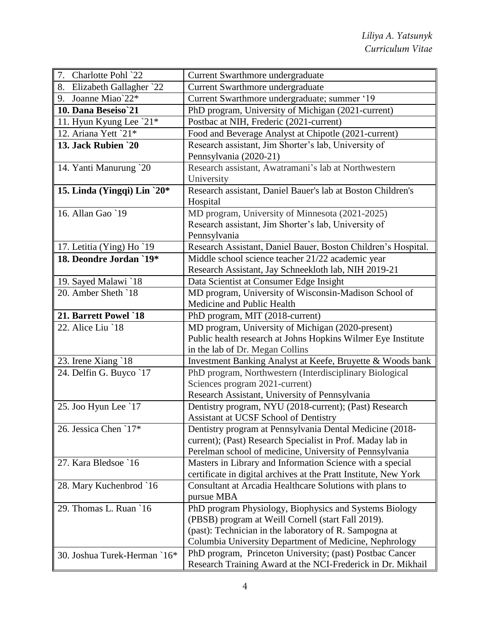| 7. Charlotte Pohl `22        | Current Swarthmore undergraduate                                                 |
|------------------------------|----------------------------------------------------------------------------------|
| 8. Elizabeth Gallagher `22   | Current Swarthmore undergraduate                                                 |
| 9. Joanne Miao`22*           | Current Swarthmore undergraduate; summer '19                                     |
| 10. Dana Beseiso'21          | PhD program, University of Michigan (2021-current)                               |
| 11. Hyun Kyung Lee `21*      | Postbac at NIH, Frederic (2021-current)                                          |
| 12. Ariana Yett `21*         | Food and Beverage Analyst at Chipotle (2021-current)                             |
| 13. Jack Rubien `20          | Research assistant, Jim Shorter's lab, University of                             |
|                              | Pennsylvania (2020-21)                                                           |
| 14. Yanti Manurung `20       | Research assistant, Awatramani's lab at Northwestern                             |
|                              | University                                                                       |
| 15. Linda (Yingqi) Lin $20*$ | Research assistant, Daniel Bauer's lab at Boston Children's                      |
|                              | Hospital                                                                         |
| 16. Allan Gao `19            | MD program, University of Minnesota (2021-2025)                                  |
|                              | Research assistant, Jim Shorter's lab, University of                             |
|                              | Pennsylvania                                                                     |
| 17. Letitia (Ying) Ho `19    | Research Assistant, Daniel Bauer, Boston Children's Hospital.                    |
| 18. Deondre Jordan `19*      | Middle school science teacher 21/22 academic year                                |
|                              | Research Assistant, Jay Schneekloth lab, NIH 2019-21                             |
| 19. Sayed Malawi `18         | Data Scientist at Consumer Edge Insight                                          |
| 20. Amber Sheth `18          | MD program, University of Wisconsin-Madison School of                            |
|                              | Medicine and Public Health                                                       |
| 21. Barrett Powel `18        | PhD program, MIT (2018-current)                                                  |
| 22. Alice Liu `18            | MD program, University of Michigan (2020-present)                                |
|                              | Public health research at Johns Hopkins Wilmer Eye Institute                     |
|                              | in the lab of Dr. Megan Collins                                                  |
| 23. Irene Xiang `18          | Investment Banking Analyst at Keefe, Bruyette & Woods bank                       |
| 24. Delfin G. Buyco `17      | PhD program, Northwestern (Interdisciplinary Biological                          |
|                              | Sciences program 2021-current)<br>Research Assistant, University of Pennsylvania |
| 25. Joo Hyun Lee `17         | Dentistry program, NYU (2018-current); (Past) Research                           |
|                              | Assistant at UCSF School of Dentistry                                            |
| 26. Jessica Chen `17*        | Dentistry program at Pennsylvania Dental Medicine (2018-                         |
|                              | current); (Past) Research Specialist in Prof. Maday lab in                       |
|                              | Perelman school of medicine, University of Pennsylvania                          |
| 27. Kara Bledsoe `16         | Masters in Library and Information Science with a special                        |
|                              | certificate in digital archives at the Pratt Institute, New York                 |
| 28. Mary Kuchenbrod `16      | Consultant at Arcadia Healthcare Solutions with plans to                         |
|                              | pursue MBA                                                                       |
| 29. Thomas L. Ruan `16       | PhD program Physiology, Biophysics and Systems Biology                           |
|                              | (PBSB) program at Weill Cornell (start Fall 2019).                               |
|                              | (past): Technician in the laboratory of R. Sampogna at                           |
|                              | Columbia University Department of Medicine, Nephrology                           |
| 30. Joshua Turek-Herman `16* | PhD program, Princeton University; (past) Postbac Cancer                         |
|                              | Research Training Award at the NCI-Frederick in Dr. Mikhail                      |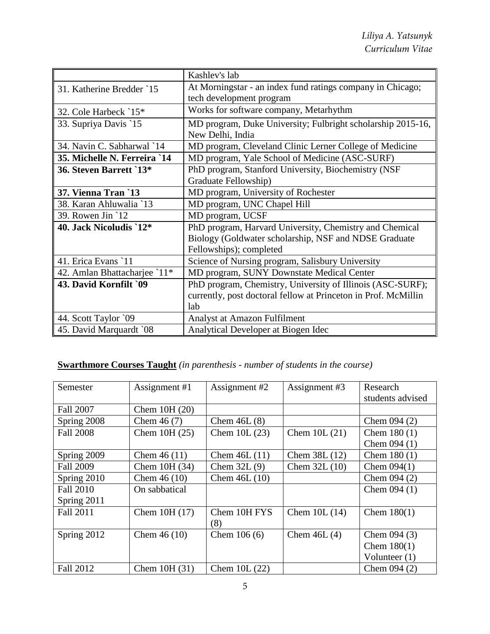|                              | Kashlev's lab                                                  |
|------------------------------|----------------------------------------------------------------|
| 31. Katherine Bredder `15    | At Morningstar - an index fund ratings company in Chicago;     |
|                              | tech development program                                       |
| 32. Cole Harbeck `15*        | Works for software company, Metarhythm                         |
| 33. Supriya Davis `15        | MD program, Duke University; Fulbright scholarship 2015-16,    |
|                              | New Delhi, India                                               |
| 34. Navin C. Sabharwal `14   | MD program, Cleveland Clinic Lerner College of Medicine        |
| 35. Michelle N. Ferreira `14 | MD program, Yale School of Medicine (ASC-SURF)                 |
| 36. Steven Barrett `13*      | PhD program, Stanford University, Biochemistry (NSF            |
|                              | Graduate Fellowship)                                           |
| 37. Vienna Tran `13          | MD program, University of Rochester                            |
| 38. Karan Ahluwalia `13      | MD program, UNC Chapel Hill                                    |
| 39. Rowen Jin `12            | MD program, UCSF                                               |
| 40. Jack Nicoludis `12*      | PhD program, Harvard University, Chemistry and Chemical        |
|                              | Biology (Goldwater scholarship, NSF and NDSE Graduate          |
|                              | Fellowships); completed                                        |
| 41. Erica Evans `11          | Science of Nursing program, Salisbury University               |
| 42. Amlan Bhattacharjee `11* | MD program, SUNY Downstate Medical Center                      |
| 43. David Kornfilt `09       | PhD program, Chemistry, University of Illinois (ASC-SURF);     |
|                              | currently, post doctoral fellow at Princeton in Prof. McMillin |
|                              | lab                                                            |
| 44. Scott Taylor `09         | Analyst at Amazon Fulfilment                                   |
| 45. David Marquardt `08      | Analytical Developer at Biogen Idec                            |

# **Swarthmore Courses Taught** *(in parenthesis - number of students in the course)*

| Semester         | Assignment #1  | Assignment #2  | Assignment #3  | Research         |
|------------------|----------------|----------------|----------------|------------------|
|                  |                |                |                | students advised |
| <b>Fall 2007</b> | Chem $10H(20)$ |                |                |                  |
| Spring 2008      | Chem $46(7)$   | Chem $46L(8)$  |                | Chem $094(2)$    |
| <b>Fall 2008</b> | Chem 10H (25)  | Chem $10L(23)$ | Chem $10L(21)$ | Chem $180(1)$    |
|                  |                |                |                | Chem $094(1)$    |
| Spring 2009      | Chem $46(11)$  | Chem $46L(11)$ | Chem 38L (12)  | Chem $180(1)$    |
| <b>Fall 2009</b> | Chem 10H (34)  | Chem $32L(9)$  | Chem $32L(10)$ | Chem $094(1)$    |
| Spring 2010      | Chem $46(10)$  | Chem $46L(10)$ |                | Chem $094(2)$    |
| <b>Fall 2010</b> | On sabbatical  |                |                | Chem $094(1)$    |
| Spring 2011      |                |                |                |                  |
| <b>Fall 2011</b> | Chem 10H (17)  | Chem 10H FYS   | Chem $10L(14)$ | Chem $180(1)$    |
|                  |                | (8)            |                |                  |
| Spring 2012      | Chem $46(10)$  | Chem $106(6)$  | Chem $46L(4)$  | Chem $094(3)$    |
|                  |                |                |                | Chem $180(1)$    |
|                  |                |                |                | Volunteer $(1)$  |
| <b>Fall 2012</b> | Chem $10H(31)$ | Chem $10L(22)$ |                | Chem $094(2)$    |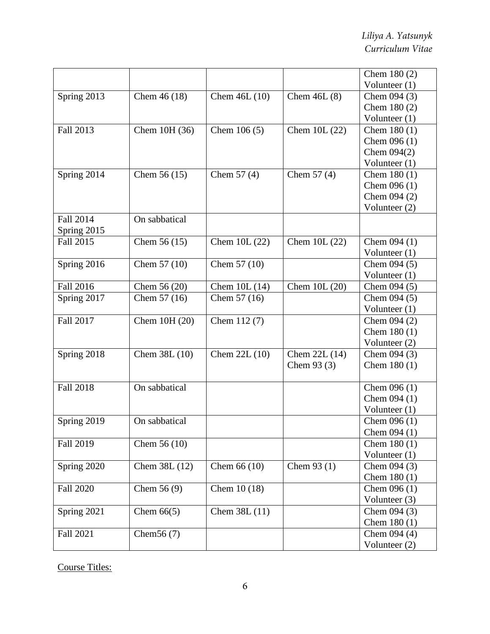|                  |               |                |                | Chem $180(2)$   |
|------------------|---------------|----------------|----------------|-----------------|
|                  |               |                |                | Volunteer (1)   |
| Spring 2013      | Chem $46(18)$ | Chem 46L (10)  | Chem $46L(8)$  | Chem $094(3)$   |
|                  |               |                |                | Chem 180 (2)    |
|                  |               |                |                | Volunteer (1)   |
| Fall 2013        | Chem 10H (36) | Chem $106(5)$  | Chem 10L (22)  | Chem $180(1)$   |
|                  |               |                |                | Chem $096(1)$   |
|                  |               |                |                | Chem $094(2)$   |
|                  |               |                |                | Volunteer $(1)$ |
| Spring 2014      | Chem $56(15)$ | Chem $57(4)$   | Chem $57(4)$   | Chem $180(1)$   |
|                  |               |                |                | Chem $096(1)$   |
|                  |               |                |                | Chem 094 (2)    |
|                  |               |                |                | Volunteer (2)   |
| Fall 2014        | On sabbatical |                |                |                 |
| Spring 2015      |               |                |                |                 |
| Fall 2015        | Chem $56(15)$ | Chem $10L(22)$ | Chem $10L(22)$ | Chem $094(1)$   |
|                  |               |                |                | Volunteer $(1)$ |
| Spring 2016      | Chem 57 (10)  | Chem 57 (10)   |                | Chem $094(5)$   |
|                  |               |                |                | Volunteer (1)   |
| <b>Fall 2016</b> | Chem 56 (20)  | Chem $10L(14)$ | Chem 10L (20)  | Chem $094(5)$   |
| Spring 2017      | Chem 57 (16)  | Chem 57 (16)   |                | Chem $094(5)$   |
|                  |               |                |                | Volunteer $(1)$ |
| Fall 2017        | Chem 10H (20) | Chem 112 (7)   |                | Chem $094(2)$   |
|                  |               |                |                | Chem $180(1)$   |
|                  |               |                |                | Volunteer (2)   |
| Spring 2018      | Chem 38L (10) | Chem 22L (10)  | Chem 22L (14)  | Chem $094(3)$   |
|                  |               |                | Chem $93(3)$   | Chem $180(1)$   |
|                  |               |                |                |                 |
| <b>Fall 2018</b> | On sabbatical |                |                | Chem $096(1)$   |
|                  |               |                |                | Chem $094(1)$   |
|                  |               |                |                | Volunteer $(1)$ |
| Spring 2019      | On sabbatical |                |                | Chem $096(1)$   |
|                  |               |                |                | Chem $094(1)$   |
| Fall 2019        | Chem $56(10)$ |                |                | Chem $180(1)$   |
|                  |               |                |                | Volunteer $(1)$ |
| Spring 2020      | Chem 38L (12) | Chem $66(10)$  | Chem $93(1)$   | Chem $094(3)$   |
|                  |               |                |                | Chem $180(1)$   |
| <b>Fall 2020</b> | Chem $56(9)$  | Chem 10 (18)   |                | Chem $096(1)$   |
|                  |               |                |                | Volunteer (3)   |
| Spring 2021      | Chem $66(5)$  | Chem 38L (11)  |                | Chem $094(3)$   |
|                  |               |                |                | Chem $180(1)$   |
| <b>Fall 2021</b> | Chem $56(7)$  |                |                | Chem $094(4)$   |
|                  |               |                |                | Volunteer $(2)$ |

Course Titles: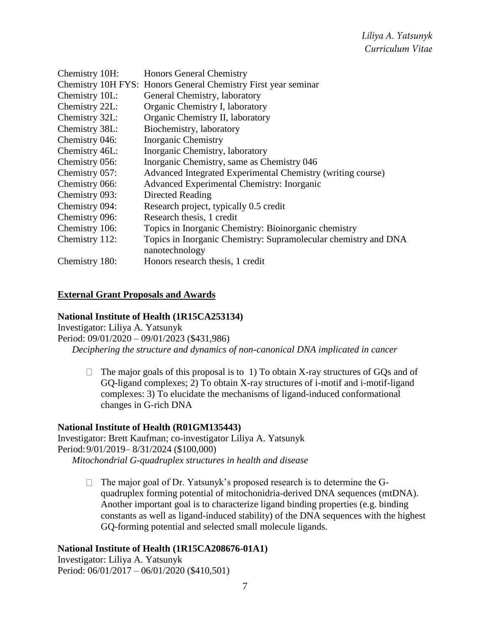| Chemistry 10H: | <b>Honors General Chemistry</b>                                 |
|----------------|-----------------------------------------------------------------|
|                | Chemistry 10H FYS: Honors General Chemistry First year seminar  |
| Chemistry 10L: | General Chemistry, laboratory                                   |
| Chemistry 22L: | Organic Chemistry I, laboratory                                 |
| Chemistry 32L: | Organic Chemistry II, laboratory                                |
| Chemistry 38L: | Biochemistry, laboratory                                        |
| Chemistry 046: | <b>Inorganic Chemistry</b>                                      |
| Chemistry 46L: | Inorganic Chemistry, laboratory                                 |
| Chemistry 056: | Inorganic Chemistry, same as Chemistry 046                      |
| Chemistry 057: | Advanced Integrated Experimental Chemistry (writing course)     |
| Chemistry 066: | Advanced Experimental Chemistry: Inorganic                      |
| Chemistry 093: | Directed Reading                                                |
| Chemistry 094: | Research project, typically 0.5 credit                          |
| Chemistry 096: | Research thesis, 1 credit                                       |
| Chemistry 106: | Topics in Inorganic Chemistry: Bioinorganic chemistry           |
| Chemistry 112: | Topics in Inorganic Chemistry: Supramolecular chemistry and DNA |
|                | nanotechnology                                                  |
| Chemistry 180: | Honors research thesis, 1 credit                                |

#### **External Grant Proposals and Awards**

## **National Institute of Health (1R15CA253134)**

Investigator: Liliya A. Yatsunyk Period: 09/01/2020 – 09/01/2023 (\$431,986) *Deciphering the structure and dynamics of non-canonical DNA implicated in cancer*

 $\Box$  The major goals of this proposal is to 1) To obtain X-ray structures of GQs and of GQ-ligand complexes; 2) To obtain X-ray structures of i-motif and i-motif-ligand complexes: 3) To elucidate the mechanisms of ligand-induced conformational changes in G-rich DNA

#### **National Institute of Health (R01GM135443)**

Investigator: Brett Kaufman; co-investigator Liliya A. Yatsunyk Period:9/01/2019– 8/31/2024 (\$100,000) *Mitochondrial G-quadruplex structures in health and disease*

> $\Box$  The major goal of Dr. Yatsunyk's proposed research is to determine the Gquadruplex forming potential of mitochonidria-derived DNA sequences (mtDNA). Another important goal is to characterize ligand binding properties (e.g. binding constants as well as ligand-induced stability) of the DNA sequences with the highest GQ-forming potential and selected small molecule ligands.

#### **National Institute of Health (1R15CA208676-01A1)**

Investigator: Liliya A. Yatsunyk Period: 06/01/2017 – 06/01/2020 (\$410,501)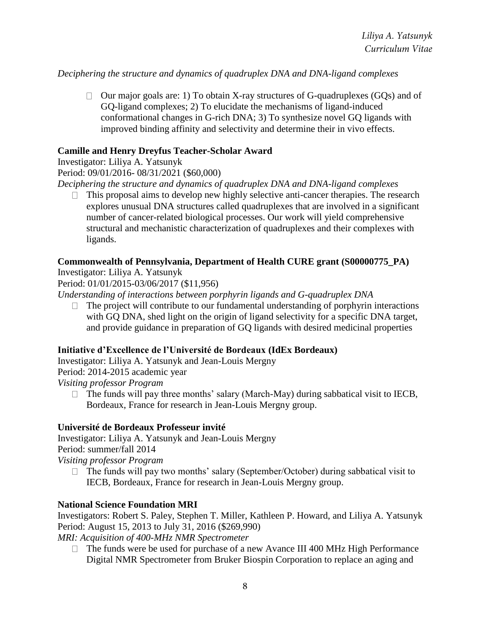*Deciphering the structure and dynamics of quadruplex DNA and DNA-ligand complexes*

 $\Box$  Our major goals are: 1) To obtain X-ray structures of G-quadruplexes (GQs) and of GQ-ligand complexes; 2) To elucidate the mechanisms of ligand-induced conformational changes in G-rich DNA; 3) To synthesize novel GQ ligands with improved binding affinity and selectivity and determine their in vivo effects.

#### **Camille and Henry Dreyfus Teacher-Scholar Award**

Investigator: Liliya A. Yatsunyk Period: 09/01/2016- 08/31/2021 (\$60,000)

*Deciphering the structure and dynamics of quadruplex DNA and DNA-ligand complexes*

 $\Box$  This proposal aims to develop new highly selective anti-cancer therapies. The research explores unusual DNA structures called quadruplexes that are involved in a significant number of cancer-related biological processes. Our work will yield comprehensive structural and mechanistic characterization of quadruplexes and their complexes with ligands.

## **Commonwealth of Pennsylvania, Department of Health CURE grant (S00000775\_PA)**

Investigator: Liliya A. Yatsunyk

Period: 01/01/2015-03/06/2017 (\$11,956)

*Understanding of interactions between porphyrin ligands and G-quadruplex DNA*

 $\Box$  The project will contribute to our fundamental understanding of porphyrin interactions with GQ DNA, shed light on the origin of ligand selectivity for a specific DNA target, and provide guidance in preparation of GQ ligands with desired medicinal properties

#### **Initiative d'Excellence de l'Université de Bordeaux (IdEx Bordeaux)**

Investigator: Liliya A. Yatsunyk and Jean-Louis Mergny Period: 2014-2015 academic year

*Visiting professor Program*

 $\Box$  The funds will pay three months' salary (March-May) during sabbatical visit to IECB, Bordeaux, France for research in Jean-Louis Mergny group.

#### **Université de Bordeaux Professeur invité**

Investigator: Liliya A. Yatsunyk and Jean-Louis Mergny Period: summer/fall 2014 *Visiting professor Program*

 $\Box$  The funds will pay two months' salary (September/October) during sabbatical visit to IECB, Bordeaux, France for research in Jean-Louis Mergny group.

#### **National Science Foundation MRI**

Investigators: Robert S. Paley, Stephen T. Miller, Kathleen P. Howard, and Liliya A. Yatsunyk Period: August 15, 2013 to July 31, 2016 (\$269,990)

*MRI: Acquisition of 400-MHz NMR Spectrometer*

 $\Box$  The funds were be used for purchase of a new Avance III 400 MHz High Performance Digital NMR Spectrometer from Bruker Biospin Corporation to replace an aging and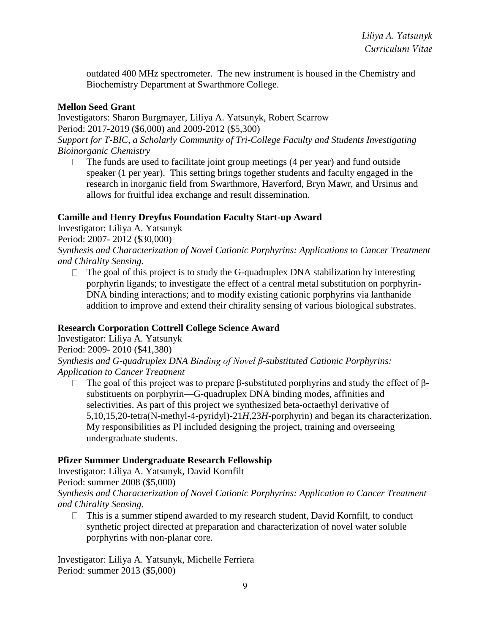outdated 400 MHz spectrometer. The new instrument is housed in the Chemistry and Biochemistry Department at Swarthmore College.

## **Mellon Seed Grant**

Investigators: Sharon Burgmayer, Liliya A. Yatsunyk, Robert Scarrow

Period: 2017-2019 (\$6,000) and 2009-2012 (\$5,300)

*Support for T-BIC, a Scholarly Community of Tri-College Faculty and Students Investigating Bioinorganic Chemistry*

 $\Box$  The funds are used to facilitate joint group meetings (4 per year) and fund outside speaker (1 per year). This setting brings together students and faculty engaged in the research in inorganic field from Swarthmore, Haverford, Bryn Mawr, and Ursinus and allows for fruitful idea exchange and result dissemination.

## **Camille and Henry Dreyfus Foundation Faculty Start-up Award**

Investigator: Liliya A. Yatsunyk

Period: 2007- 2012 (\$30,000)

*Synthesis and Characterization of Novel Cationic Porphyrins: Applications to Cancer Treatment and Chirality Sensing.*

 $\Box$  The goal of this project is to study the G-quadruplex DNA stabilization by interesting porphyrin ligands; to investigate the effect of a central metal substitution on porphyrin-DNA binding interactions; and to modify existing cationic porphyrins via lanthanide addition to improve and extend their chirality sensing of various biological substrates.

## **Research Corporation Cottrell College Science Award**

Investigator: Liliya A. Yatsunyk Period: 2009- 2010 (\$41,380) *Synthesis and G-quadruplex DNA Binding of Novel β-substituted Cationic Porphyrins: Application to Cancer Treatment*

 $\Box$  The goal of this project was to prepare β-substituted porphyrins and study the effect of βsubstituents on porphyrin—G-quadruplex DNA binding modes, affinities and selectivities. As part of this project we synthesized beta-octaethyl derivative of 5,10,15,20-tetra(N-methyl-4-pyridyl)-21*H*,23*H*-porphyrin) and began its characterization. My responsibilities as PI included designing the project, training and overseeing undergraduate students.

## **Pfizer Summer Undergraduate Research Fellowship**

Investigator: Liliya A. Yatsunyk, David Kornfilt

Period: summer 2008 (\$5,000)

*Synthesis and Characterization of Novel Cationic Porphyrins: Application to Cancer Treatment and Chirality Sensing*.

 $\Box$  This is a summer stipend awarded to my research student, David Kornfilt, to conduct synthetic project directed at preparation and characterization of novel water soluble porphyrins with non-planar core.

Investigator: Liliya A. Yatsunyk, Michelle Ferriera Period: summer 2013 (\$5,000)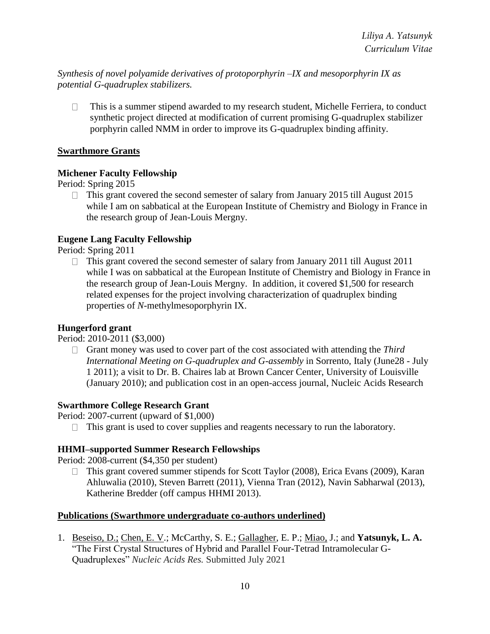*Synthesis of novel polyamide derivatives of protoporphyrin –IX and mesoporphyrin IX as potential G-quadruplex stabilizers.* 

This is a summer stipend awarded to my research student, Michelle Ferriera, to conduct  $\Box$ synthetic project directed at modification of current promising G-quadruplex stabilizer porphyrin called NMM in order to improve its G-quadruplex binding affinity.

## **Swarthmore Grants**

## **Michener Faculty Fellowship**

Period: Spring 2015

 $\Box$  This grant covered the second semester of salary from January 2015 till August 2015 while I am on sabbatical at the European Institute of Chemistry and Biology in France in the research group of Jean-Louis Mergny.

## **Eugene Lang Faculty Fellowship**

Period: Spring 2011

 $\Box$  This grant covered the second semester of salary from January 2011 till August 2011 while I was on sabbatical at the European Institute of Chemistry and Biology in France in the research group of Jean-Louis Mergny. In addition, it covered \$1,500 for research related expenses for the project involving characterization of quadruplex binding properties of *N-*methylmesoporphyrin IX.

## **Hungerford grant**

Period: 2010-2011 (\$3,000)

Grant money was used to cover part of the cost associated with attending the *Third International Meeting on G-quadruplex and G-assembly* in Sorrento, Italy (June28 - July 1 2011); a visit to Dr. B. Chaires lab at Brown Cancer Center, University of Louisville (January 2010); and publication cost in an open-access journal, Nucleic Acids Research

## **Swarthmore College Research Grant**

Period: 2007-current (upward of \$1,000)

 $\Box$  This grant is used to cover supplies and reagents necessary to run the laboratory.

#### **HHMI–supported Summer Research Fellowships**

Period: 2008-current (\$4,350 per student)

□ This grant covered summer stipends for Scott Taylor (2008), Erica Evans (2009), Karan Ahluwalia (2010), Steven Barrett (2011), Vienna Tran (2012), Navin Sabharwal (2013), Katherine Bredder (off campus HHMI 2013).

#### **Publications (Swarthmore undergraduate co-authors underlined)**

1. Beseiso, D.; Chen, E. V.; McCarthy, S. E.; Gallagher, E. P.; Miao, J.; and **Yatsunyk, L. A.** "The First Crystal Structures of Hybrid and Parallel Four-Tetrad Intramolecular G-Quadruplexes" *Nucleic Acids Res.* Submitted July 2021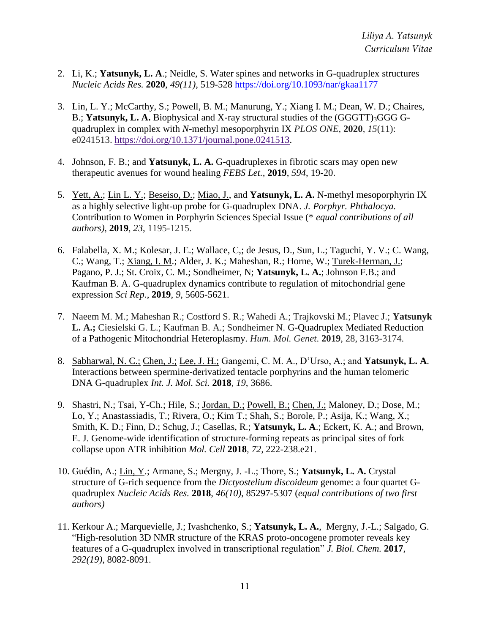- 2. Li, K.; **Yatsunyk, L. A**.; Neidle, S. Water spines and networks in G-quadruplex structures *Nucleic Acids Res.* **2020**, *49(11)*, 519-528 https://doi.org/10.1093/nar/gkaa1177
- 3. Lin, L. Y.; McCarthy, S.; Powell, B. M.; Manurung, Y.; Xiang I. M.; Dean, W. D.; Chaires, B.; **Yatsunyk, L. A.** Biophysical and X-ray structural studies of the (GGGTT)3GGG Gquadruplex in complex with *N*-methyl mesoporphyrin IX *PLOS ONE*, **2020**, *15*(11): e0241513. https://doi.org/10.1371/journal.pone.0241513.
- 4. Johnson, F. B.; and **Yatsunyk, L. A.** G-quadruplexes in fibrotic scars may open new therapeutic avenues for wound healing *FEBS Let.,* **2019**, *594*, 19-20.
- 5. Yett, A.; Lin L. Y.; Beseiso, D.; Miao, J., and **Yatsunyk, L. A.** N-methyl mesoporphyrin IX as a highly selective light-up probe for G-quadruplex DNA. *J. Porphyr. Phthalocya.*  Contribution to Women in Porphyrin Sciences Special Issue (\* *equal contributions of all authors)*, **2019**, *23*, 1195-1215.
- 6. Falabella, X. M.; Kolesar, J. E.; Wallace, C,; de Jesus, D., Sun, L.; Taguchi, Y. V.; C. Wang, C.; Wang, T.; Xiang, I. M.; Alder, J. K.; Maheshan, R.; Horne, W.; Turek-Herman, J.; Pagano, P. J.; St. Croix, C. M.; Sondheimer, N; **Yatsunyk, L. A.**; Johnson F.B.; and Kaufman B. A. G-quadruplex dynamics contribute to regulation of mitochondrial gene expression *Sci Rep.*, **2019**, *9*, 5605-5621.
- 7. Naeem M. M.; Maheshan R.; Costford S. R.; Wahedi A.; Trajkovski M.; Plavec J.; **Yatsunyk L. A.;** Ciesielski G. L.; Kaufman B. A.; Sondheimer N. G-Quadruplex Mediated Reduction of a Pathogenic Mitochondrial Heteroplasmy. *Hum. Mol. Genet*. **2019**, 28, 3163-3174.
- 8. Sabharwal, N. C.; Chen, J.; Lee, J. H.; Gangemi, C. M. A., D'Urso, A.; and **Yatsunyk, L. A**. Interactions between spermine-derivatized tentacle porphyrins and the human telomeric DNA G-quadruplex *Int. J. Mol. Sci.* **2018**, *19*, 3686.
- 9. Shastri, N.; Tsai, Y-Ch.; Hile, S.; Jordan, D.; Powell, B.; Chen, J.; Maloney, D.; Dose, M.; Lo, Y.; Anastassiadis, T.; Rivera, O.; Kim T.; Shah, S.; Borole, P.; Asija, K.; Wang, X.; Smith, K. D.; Finn, D.; Schug, J.; Casellas, R.; **Yatsunyk, L. A**.; Eckert, K. A.; and Brown, E. J. Genome-wide identification of structure-forming repeats as principal sites of fork collapse upon ATR inhibition *Mol. Cell* **2018**, *72,* 222-238.e21.
- 10. Guédin, A.; Lin, Y.; Armane, S.; Mergny, J. -L.; Thore, S.; **Yatsunyk, L. A.** Crystal structure of G-rich sequence from the *Dictyostelium discoideum* genome: a four quartet Gquadruplex *Nucleic Acids Res.* **2018**, *46(10)*, 85297-5307 (*equal contributions of two first authors)*
- 11. Kerkour A.; Marquevielle, J.; Ivashchenko, S.; **Yatsunyk, L. A.**, Mergny, J.-L.; Salgado, G. "High-resolution 3D NMR structure of the KRAS proto-oncogene promoter reveals key features of a G-quadruplex involved in transcriptional regulation" *J. Biol. Chem.* **2017**, *292(19)*, 8082-8091.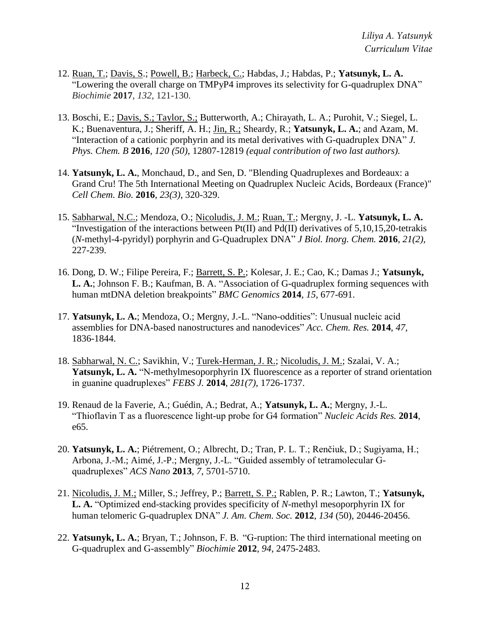- 12. Ruan, T.; Davis, S.; Powell, B.; Harbeck, C.; Habdas, J.; Habdas, P.; **Yatsunyk, L. A.** "Lowering the overall charge on TMPyP4 improves its selectivity for G-quadruplex DNA" *Biochimie* **2017***, 132,* 121-130.
- 13. Boschi, E.; Davis, S.; Taylor, S.; Butterworth, A.; Chirayath, L. A.; Purohit, V.; Siegel, L. K.; Buenaventura, J.; Sheriff, A. H.; Jin, R.; Sheardy, R.; **Yatsunyk, L. A.**; and Azam, M. "Interaction of a cationic porphyrin and its metal derivatives with G-quadruplex DNA" *J. Phys. Chem. B* **2016**, *120 (50)*, 12807-12819 *(equal contribution of two last authors).*
- 14. **Yatsunyk, L. A.**, Monchaud, D., and Sen, D. "Blending Quadruplexes and Bordeaux: a Grand Cru! The 5th International Meeting on Quadruplex Nucleic Acids, Bordeaux (France)" *Cell Chem. Bio.* **2016**, *23(3)*, 320-329.
- 15. Sabharwal, N.C.; Mendoza, O.; Nicoludis, J. M.; Ruan, T.; Mergny, J. -L. **Yatsunyk, L. A.** "Investigation of the interactions between Pt(II) and Pd(II) derivatives of 5,10,15,20-tetrakis (*N*-methyl-4-pyridyl) porphyrin and G-Quadruplex DNA" *J Biol. Inorg. Chem.* **2016**, *21(2),*  227-239.
- 16. Dong, D. W.; Filipe Pereira, F.; Barrett, S. P.; Kolesar, J. E.; Cao, K.; Damas J.; **Yatsunyk, L. A.**; Johnson F. B.; Kaufman, B. A. "Association of G-quadruplex forming sequences with human mtDNA deletion breakpoints" *BMC Genomics* **2014**, *15,* 677-691.
- 17. **Yatsunyk, L. A.**; Mendoza, O.; Mergny, J.-L. "Nano-oddities": Unusual nucleic acid assemblies for DNA-based nanostructures and nanodevices" *Acc. Chem. Res.* **2014**, *47,* 1836-1844.
- 18. Sabharwal, N. C.; Savikhin, V.; Turek-Herman, J. R.; Nicoludis, J. M.; Szalai, V. A.; Yatsunyk, L. A. "N-methylmesoporphyrin IX fluorescence as a reporter of strand orientation in guanine quadruplexes" *FEBS J.* **2014**, *281(7),* 1726-1737.
- 19. Renaud de la Faverie, A.; Guédin, A.; Bedrat, A.; **Yatsunyk, L. A.**; Mergny, J.-L. "Thioflavin T as a fluorescence light-up probe for G4 formation" *Nucleic Acids Res.* **2014**, e65.
- 20. **Yatsunyk, L. A.**; Piétrement, O.; Albrecht, D.; Tran, P. L. T.; Renčiuk, D.; Sugiyama, H.; Arbona, J.-M.; Aimé, J.-P.; Mergny, J.-L. "Guided assembly of tetramolecular Gquadruplexes" *ACS Nano* **2013**, *7*, 5701-5710.
- 21. Nicoludis, J. M.; Miller, S.; Jeffrey, P.; Barrett, S. P.; Rablen, P. R.; Lawton, T.; **Yatsunyk, L. A.** "Optimized end-stacking provides specificity of *N-*methyl mesoporphyrin IX for human telomeric G-quadruplex DNA" *J. Am. Chem. Soc.* **2012**, *134* (50), 20446-20456.
- 22. **Yatsunyk, L. A.**; Bryan, T.; Johnson, F. B. "G-ruption: The third international meeting on G-quadruplex and G-assembly" *Biochimie* **2012**, *94*, 2475-2483.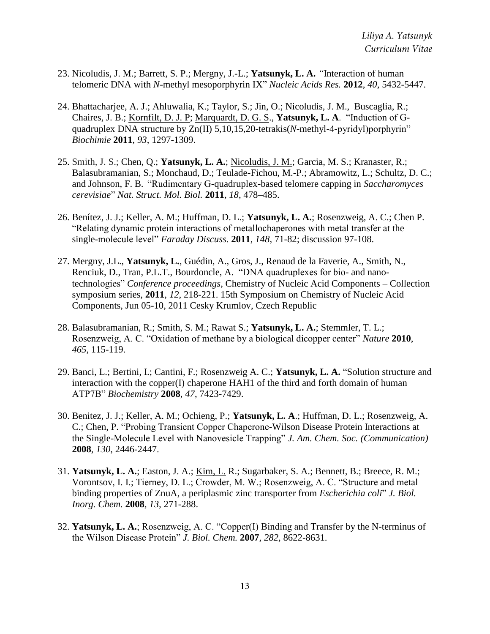- 23. Nicoludis, J. M.; Barrett, S. P.; Mergny, J.-L.; **Yatsunyk, L. A.** *"*Interaction of human telomeric DNA with *N-*methyl mesoporphyrin IX" *Nucleic Acids Res.* **2012**, *40*, 5432-5447.
- 24. Bhattacharjee, A. J.; Ahluwalia, K.; Taylor, S.; Jin, O.; Nicoludis, J. M., Buscaglia, R.; Chaires, J. B.; Kornfilt, D. J. P; Marquardt, D. G. S., **Yatsunyk, L. A**. "Induction of Gquadruplex DNA structure by Zn(II) 5,10,15,20-tetrakis(*N*-methyl-4-pyridyl)porphyrin" *Biochimie* **2011**, *93*, 1297-1309.
- 25. Smith, J. S.; Chen, Q.; **Yatsunyk, L. A.**; Nicoludis, J. M.; Garcia, M. S.; Kranaster, R.; Balasubramanian, S.; Monchaud, D.; Teulade-Fichou, M.-P.; Abramowitz, L.; Schultz, D. C.; and Johnson, F. B. "Rudimentary G-quadruplex-based telomere capping in *Saccharomyces cerevisiae*" *Nat. Struct. Mol. Biol.* **2011**, *18*, 478–485.
- 26. Benítez, J. J.; Keller, A. M.; Huffman, D. L.; **Yatsunyk, L. A.**; Rosenzweig, A. C.; Chen P. "Relating dynamic protein interactions of metallochaperones with metal transfer at the single-molecule level" *Faraday Discuss.* **2011**, *148*, 71-82; discussion 97-108.
- 27. Mergny, J.L., **Yatsunyk, L.**, Guédin, A., Gros, J., Renaud de la Faverie, A., Smith, N., Renciuk, D., Tran, P.L.T., Bourdoncle, A. "DNA quadruplexes for bio- and nanotechnologies" *Conference proceedings*, Chemistry of Nucleic Acid Components – Collection symposium series, **2011**, *12*, 218-221. 15th Symposium on Chemistry of Nucleic Acid Components, Jun 05-10, 2011 Cesky Krumlov, Czech Republic
- 28. Balasubramanian, R.; Smith, S. M.; Rawat S.; **Yatsunyk, L. A.**; Stemmler, T. L.; Rosenzweig, A. C. "Oxidation of methane by a biological dicopper center" *Nature* **2010**, *465*, 115-119.
- 29. Banci, L.; Bertini, I.; Cantini, F.; Rosenzweig A. C.; **Yatsunyk, L. A.** "Solution structure and interaction with the copper(I) chaperone HAH1 of the third and forth domain of human ATP7B" *Biochemistry* **2008**, *47*, 7423-7429.
- 30. Benitez, J. J.; Keller, A. M.; Ochieng, P.; **Yatsunyk, L. A**.; Huffman, D. L.; Rosenzweig, A. C.; Chen, P. "Probing Transient Copper Chaperone-Wilson Disease Protein Interactions at the Single-Molecule Level with Nanovesicle Trapping" *J. Am. Chem. Soc. (Communication)* **2008**, *130*, 2446-2447.
- 31. **Yatsunyk, L. A.**; Easton, J. A.; Kim, L. R.; Sugarbaker, S. A.; Bennett, B.; Breece, R. M.; Vorontsov, I. I.; Tierney, D. L.; Crowder, M. W.; Rosenzweig, A. C. "Structure and metal binding properties of ZnuA, a periplasmic zinc transporter from *Escherichia coli*" *J. Biol. Inorg. Chem.* **2008***, 13,* 271-288.
- 32. **Yatsunyk, L. A.**; Rosenzweig, A. C. "Copper(I) Binding and Transfer by the N-terminus of the Wilson Disease Protein" *J. Biol. Chem.* **2007**, *282,* 8622-8631.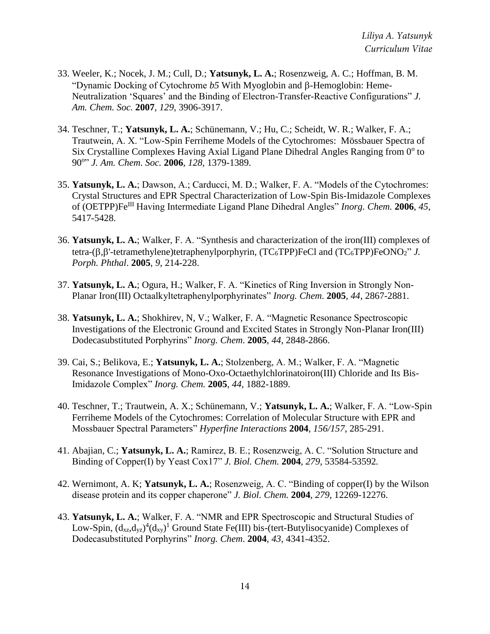- 33. Weeler, K.; Nocek, J. M.; Cull, D.; **Yatsunyk, L. A.**; Rosenzweig, A. C.; Hoffman, B. M. "Dynamic Docking of Cytochrome *b5* With Myoglobin and  $\beta$ -Hemoglobin: Heme-Neutralization 'Squares' and the Binding of Electron-Transfer-Reactive Configurations" *J. Am. Chem. Soc.* **2007**, *129,* 3906-3917.
- 34. Teschner, T.; **Yatsunyk, L. A.**; Schünemann, V.; Hu, C.; Scheidt, W. R.; Walker, F. A.; Trautwein, A. X. "Low-Spin Ferriheme Models of the Cytochromes: Mössbauer Spectra of Six Crystalline Complexes Having Axial Ligand Plane Dihedral Angles Ranging from  $0^{\circ}$  to 90<sup>o</sup> " *J. Am. Chem. Soc.* **2006**, *128,* 1379-1389.
- 35. **Yatsunyk, L. A.**; Dawson, A.; Carducci, M. D.; Walker, F. A. "Models of the Cytochromes: Crystal Structures and EPR Spectral Characterization of Low-Spin Bis-Imidazole Complexes of (OETPP)FeIII Having Intermediate Ligand Plane Dihedral Angles" *Inorg. Chem.* **2006**, *45*, 5417-5428.
- 36. **Yatsunyk, L. A.**; Walker, F. A. "Synthesis and characterization of the iron(III) complexes of tetra- $(\beta,\beta'$ -tetramethylene)tetraphenylporphyrin,  $(TC_6TPP)FeCl$  and  $(TC_6TPP)FeONO_2"$  *J. Porph. Phthal*. **2005**, *9*, 214-228.
- 37. **Yatsunyk, L. A.**; Ogura, H.; Walker, F. A. "Kinetics of Ring Inversion in Strongly Non-Planar Iron(III) Octaalkyltetraphenylporphyrinates" *Inorg. Chem*. **2005**, *44*, 2867-2881.
- 38. **Yatsunyk, L. A.**; Shokhirev, N, V.; Walker, F. A. "Magnetic Resonance Spectroscopic Investigations of the Electronic Ground and Excited States in Strongly Non-Planar Iron(III) Dodecasubstituted Porphyrins" *Inorg. Chem*. **2005**, *44*, 2848-2866.
- 39. Cai, S.; Belikova, E.; **Yatsunyk, L. A.**; Stolzenberg, A. M.; Walker, F. A. "Magnetic Resonance Investigations of Mono-Oxo-Octaethylchlorinatoiron(III) Chloride and Its Bis-Imidazole Complex" *Inorg. Chem.* **2005**, *44*, 1882-1889.
- 40. Teschner, T.; Trautwein, A. X.; Schünemann, V.; **Yatsunyk, L. A.**; Walker, F. A. "Low-Spin Ferriheme Models of the Cytochromes: Correlation of Molecular Structure with EPR and Mossbauer Spectral Parameters" *Hyperfine Interactions* **2004**, *156/157*, 285-291.
- 41. Abajian, C.; **Yatsunyk, L. A.**; Ramirez, B. E.; Rosenzweig, A. C. "Solution Structure and Binding of Copper(I) by Yeast Cox17" *J. Biol. Chem.* **2004***, 279,* 53584-53592*.*
- 42. Wernimont, A. K; **Yatsunyk, L. A.**; Rosenzweig, A. C. "Binding of copper(I) by the Wilson disease protein and its copper chaperone" *J. Biol. Chem.* **2004**, *279*, 12269-12276.
- 43. **Yatsunyk, L. A.**; Walker, F. A. "NMR and EPR Spectroscopic and Structural Studies of Low-Spin,  $(d_{xz}, d_{yz})^4 (d_{xy})^1$  Ground State Fe(III) bis-(tert-Butylisocyanide) Complexes of Dodecasubstituted Porphyrins" *Inorg. Chem*. **2004**, *43*, 4341-4352.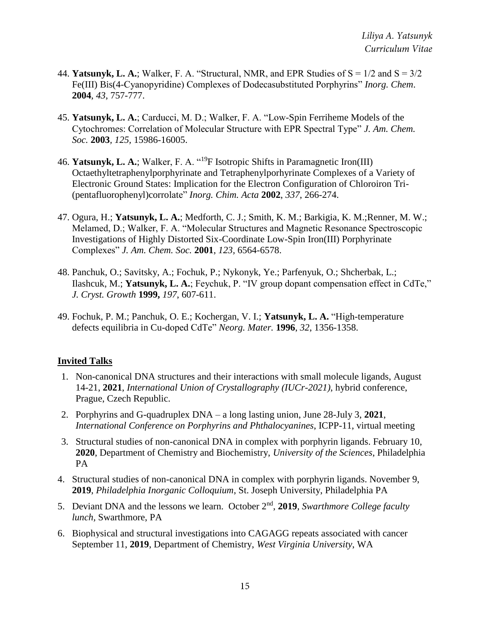- 44. **Yatsunyk, L. A.**; Walker, F. A. "Structural, NMR, and EPR Studies of  $S = 1/2$  and  $S = 3/2$ Fe(III) Bis(4-Cyanopyridine) Complexes of Dodecasubstituted Porphyrins" *Inorg. Chem*. **2004**, *43*, 757-777.
- 45. **Yatsunyk, L. A.**; Carducci, M. D.; Walker, F. A. "Low-Spin Ferriheme Models of the Cytochromes: Correlation of Molecular Structure with EPR Spectral Type" *J. Am. Chem. Soc.* **2003***, 125,* 15986-16005.
- 46. **Yatsunyk, L. A.**; Walker, F. A. "<sup>19</sup>F Isotropic Shifts in Paramagnetic Iron(III) Octaethyltetraphenylporphyrinate and Tetraphenylporhyrinate Complexes of a Variety of Electronic Ground States: Implication for the Electron Configuration of Chloroiron Tri- (pentafluorophenyl)corrolate" *Inorg. Chim. Acta* **2002**, *337*, 266-274.
- 47. Ogura, H.; **Yatsunyk, L. A.**; Medforth, C. J.; Smith, K. M.; Barkigia, K. M.;Renner, M. W.; Melamed, D.; Walker, F. A. "Molecular Structures and Magnetic Resonance Spectroscopic Investigations of Highly Distorted Six-Coordinate Low-Spin Iron(III) Porphyrinate Complexes" *J. Am. Chem. Soc.* **2001**, *123,* 6564-6578.
- 48. Panchuk, O.; Savitsky, A.; Fochuk, P.; Nykonyk, Ye.; Parfenyuk, O.; Shcherbak, L.; Ilashcuk, M.; **Yatsunyk, L. A.**; Feychuk, P. "IV group dopant compensation effect in CdTe," *J. Cryst. Growth* **1999,** *197*, 607-611.
- 49. Fochuk, P. M.; Panchuk, O. E.; Kochergan, V. I.; **Yatsunyk, L. A.** "High-temperature defects equilibria in Cu-doped CdTe" *Neorg. Mater.* **1996**, *32*, 1356-1358.

## **Invited Talks**

- 1. Non-canonical DNA structures and their interactions with small molecule ligands, August 14-21, **2021**, *International Union of Crystallography (IUCr-2021)*, hybrid conference, Prague, Czech Republic.
- 2. Porphyrins and G-quadruplex DNA a long lasting union, June 28-July 3, **2021**, *International Conference on Porphyrins and Phthalocyanines*, ICPP-11, virtual meeting
- 3. Structural studies of non-canonical DNA in complex with porphyrin ligands. February 10, **2020**, Department of Chemistry and Biochemistry, *University of the Sciences*, Philadelphia PA
- 4. Structural studies of non-canonical DNA in complex with porphyrin ligands. November 9, **2019**, *Philadelphia Inorganic Colloquium*, St. Joseph University, Philadelphia PA
- 5. Deviant DNA and the lessons we learn. October 2nd , **2019**, *Swarthmore College faculty lunch,* Swarthmore, PA
- 6. Biophysical and structural investigations into CAGAGG repeats associated with cancer September 11, **2019**, Department of Chemistry, *West Virginia University*, WA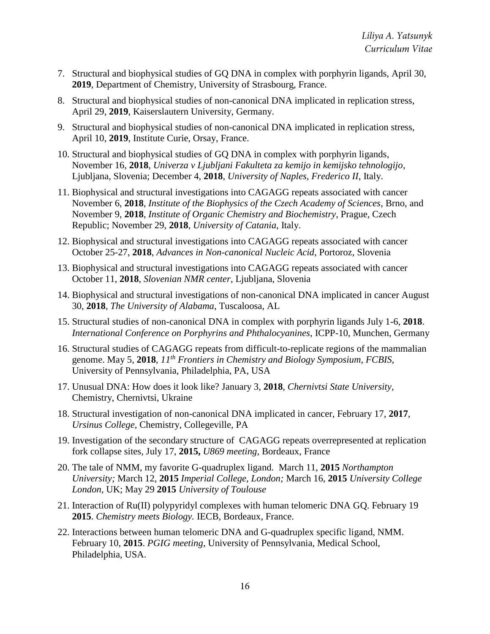- 7. Structural and biophysical studies of GQ DNA in complex with porphyrin ligands, April 30, **2019**, Department of Chemistry, University of Strasbourg, France.
- 8. Structural and biophysical studies of non-canonical DNA implicated in replication stress, April 29, **2019**, Kaiserslautern University, Germany.
- 9. Structural and biophysical studies of non-canonical DNA implicated in replication stress, April 10, **2019**, Institute Curie, Orsay, France.
- 10. Structural and biophysical studies of GQ DNA in complex with porphyrin ligands, November 16, **2018**, *Univerza v Ljubljani Fakulteta za kemijo in kemijsko tehnologijo*, Ljubljana, Slovenia; December 4, **2018**, *University of Naples, Frederico II*, Italy.
- 11. Biophysical and structural investigations into CAGAGG repeats associated with cancer November 6, **2018**, *Institute of the Biophysics of the Czech Academy of Sciences*, Brno, and November 9, **2018**, *Institute of Organic Chemistry and Biochemistry*, Prague, Czech Republic; November 29, **2018**, *University of Catania*, Italy.
- 12. Biophysical and structural investigations into CAGAGG repeats associated with cancer October 25-27, **2018**, *Advances in Non-canonical Nucleic Acid*, Portoroz, Slovenia
- 13. Biophysical and structural investigations into CAGAGG repeats associated with cancer October 11, **2018**, *Slovenian NMR center*, Ljubljana, Slovenia
- 14. Biophysical and structural investigations of non-canonical DNA implicated in cancer August 30, **2018**, *The University of Alabama*, Tuscaloosa, AL
- 15. Structural studies of non-canonical DNA in complex with porphyrin ligands July 1-6, **2018**. *International Conference on Porphyrins and Phthalocyanines*, ICPP-10, Munchen, Germany
- 16. Structural studies of CAGAGG repeats from difficult-to-replicate regions of the mammalian genome. May 5, **2018**, *11th Frontiers in Chemistry and Biology Symposium, FCBIS,* University of Pennsylvania, Philadelphia, PA, USA
- 17. Unusual DNA: How does it look like? January 3, **2018**, *Chernivtsi State University*, Chemistry, Chernivtsi, Ukraine
- 18. Structural investigation of non-canonical DNA implicated in cancer, February 17, **2017**, *Ursinus College*, Chemistry, Collegeville, PA
- 19. Investigation of the secondary structure of CAGAGG repeats overrepresented at replication fork collapse sites, July 17, **2015,** *U869 meeting*, Bordeaux, France
- 20. The tale of NMM, my favorite G-quadruplex ligand. March 11, **2015** *Northampton University;* March 12, **2015** *Imperial College, London;* March 16, **2015** *University College London,* UK; May 29 **2015** *University of Toulouse*
- 21. Interaction of Ru(II) polypyridyl complexes with human telomeric DNA GQ. February 19 **2015**. *Chemistry meets Biology.* IECB, Bordeaux, France.
- 22. Interactions between human telomeric DNA and G-quadruplex specific ligand, NMM. February 10, **2015**. *PGIG meeting*, University of Pennsylvania, Medical School, Philadelphia, USA.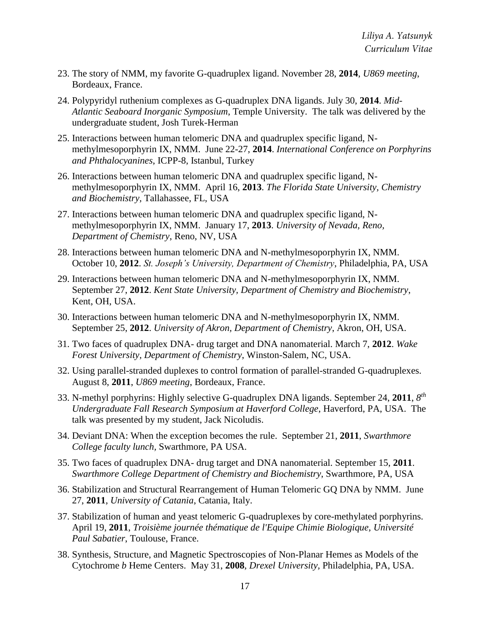- 23. The story of NMM, my favorite G-quadruplex ligand. November 28, **2014**, *U869 meeting*, Bordeaux, France.
- 24. Polypyridyl ruthenium complexes as G-quadruplex DNA ligands. July 30, **2014**. *Mid-Atlantic Seaboard Inorganic Symposium*, Temple University. The talk was delivered by the undergraduate student, Josh Turek-Herman
- 25. Interactions between human telomeric DNA and quadruplex specific ligand, Nmethylmesoporphyrin IX, NMM. June 22-27, **2014**. *International Conference on Porphyrins and Phthalocyanines*, ICPP-8, Istanbul, Turkey
- 26. Interactions between human telomeric DNA and quadruplex specific ligand, Nmethylmesoporphyrin IX, NMM. April 16, **2013**. *The Florida State University, Chemistry and Biochemistry,* Tallahassee, FL, USA
- 27. Interactions between human telomeric DNA and quadruplex specific ligand, Nmethylmesoporphyrin IX, NMM. January 17, **2013**. *University of Nevada, Reno, Department of Chemistry*, Reno, NV, USA
- 28. Interactions between human telomeric DNA and N-methylmesoporphyrin IX, NMM. October 10, **2012**. *St. Joseph's University, Department of Chemistry*, Philadelphia, PA, USA
- 29. Interactions between human telomeric DNA and N-methylmesoporphyrin IX, NMM. September 27, **2012**. *Kent State University, Department of Chemistry and Biochemistry*, Kent, OH, USA.
- 30. Interactions between human telomeric DNA and N-methylmesoporphyrin IX, NMM. September 25, **2012**. *University of Akron, Department of Chemistry*, Akron, OH, USA.
- 31. Two faces of quadruplex DNA- drug target and DNA nanomaterial. March 7, **2012**. *Wake Forest University, Department of Chemistry*, Winston-Salem, NC, USA.
- 32. Using parallel-stranded duplexes to control formation of parallel-stranded G-quadruplexes. August 8, **2011**, *U869 meeting*, Bordeaux, France.
- 33. N-methyl porphyrins: Highly selective G-quadruplex DNA ligands. September 24, **2011**, *8 th Undergraduate Fall Research Symposium at Haverford College*, Haverford, PA, USA. The talk was presented by my student, Jack Nicoludis.
- 34. Deviant DNA: When the exception becomes the rule. September 21, **2011**, *Swarthmore College faculty lunch,* Swarthmore, PA USA.
- 35. Two faces of quadruplex DNA- drug target and DNA nanomaterial. September 15, **2011**. *Swarthmore College Department of Chemistry and Biochemistry*, Swarthmore, PA, USA
- 36. Stabilization and Structural Rearrangement of Human Telomeric GQ DNA by NMM. June 27, **2011**, *University of Catania*, Catania, Italy.
- 37. Stabilization of human and yeast telomeric G-quadruplexes by core-methylated porphyrins. April 19, **2011**, *Troisième journée thématique de l'Equipe Chimie Biologique, Université Paul Sabatier*, Toulouse, France.
- 38. Synthesis, Structure, and Magnetic Spectroscopies of Non-Planar Hemes as Models of the Cytochrome *b* Heme Centers. May 31, **2008**, *Drexel University,* Philadelphia, PA, USA.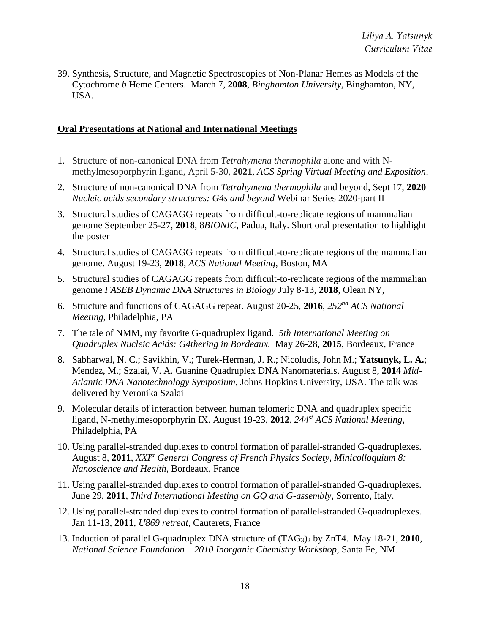39. Synthesis, Structure, and Magnetic Spectroscopies of Non-Planar Hemes as Models of the Cytochrome *b* Heme Centers. March 7, **2008**, *Binghamton University,* Binghamton, NY, USA.

## **Oral Presentations at National and International Meetings**

- 1. Structure of non-canonical DNA from *Tetrahymena thermophila* alone and with Nmethylmesoporphyrin ligand, April 5-30, **2021**, *ACS Spring Virtual Meeting and Exposition*.
- 2. Structure of non-canonical DNA from *Tetrahymena thermophila* and beyond, Sept 17, **2020** *Nucleic acids secondary structures: G4s and beyond* Webinar Series 2020-part II
- 3. Structural studies of CAGAGG repeats from difficult-to-replicate regions of mammalian genome September 25-27, **2018**, 8*BIONIC*, Padua, Italy. Short oral presentation to highlight the poster
- 4. Structural studies of CAGAGG repeats from difficult-to-replicate regions of the mammalian genome. August 19-23, **2018**, *ACS National Meeting*, Boston, MA
- 5. Structural studies of CAGAGG repeats from difficult-to-replicate regions of the mammalian genome *FASEB Dynamic DNA Structures in Biology* July 8-13, **2018**, Olean NY,
- 6. Structure and functions of CAGAGG repeat. August 20-25, **2016**, *252nd ACS National Meeting*, Philadelphia, PA
- 7. The tale of NMM, my favorite G-quadruplex ligand. *5th International Meeting on Quadruplex Nucleic Acids: G4thering in Bordeaux.* May 26-28, **2015**, Bordeaux, France
- 8. Sabharwal, N. C.; Savikhin, V.; Turek-Herman, J. R.; Nicoludis, John M.; **Yatsunyk, L. A.**; Mendez, M.; Szalai, V. A. Guanine Quadruplex DNA Nanomaterials. August 8, **2014** *Mid-Atlantic DNA Nanotechnology Symposium*, Johns Hopkins University, USA. The talk was delivered by Veronika Szalai
- 9. Molecular details of interaction between human telomeric DNA and quadruplex specific ligand, N-methylmesoporphyrin IX. August 19-23, **2012**, *244st ACS National Meeting*, Philadelphia, PA
- 10. Using parallel-stranded duplexes to control formation of parallel-stranded G-quadruplexes. August 8, **2011**, *XXIst General Congress of French Physics Society, Minicolloquium 8: Nanoscience and Health,* Bordeaux, France
- 11. Using parallel-stranded duplexes to control formation of parallel-stranded G-quadruplexes. June 29, **2011**, *Third International Meeting on GQ and G-assembly*, Sorrento, Italy.
- 12. Using parallel-stranded duplexes to control formation of parallel-stranded G-quadruplexes. Jan 11-13, **2011**, *U869 retreat*, Cauterets, France
- 13. Induction of parallel G-quadruplex DNA structure of (TAG3)<sup>2</sup> by ZnT4. May 18-21, **2010**, *National Science Foundation – 2010 Inorganic Chemistry Workshop*, Santa Fe, NM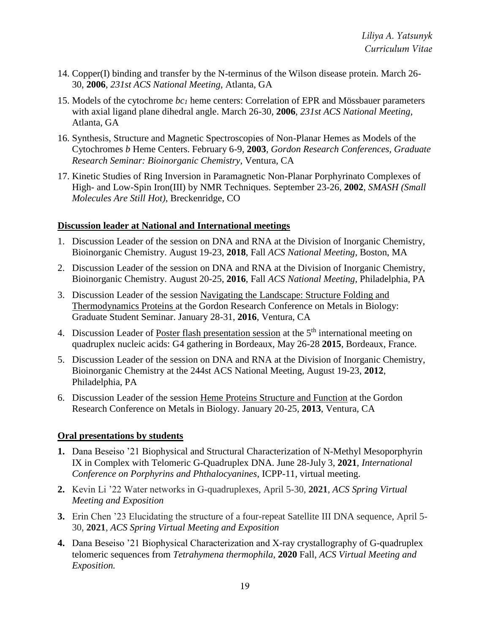- 14. Copper(I) binding and transfer by the N-terminus of the Wilson disease protein. March 26- 30, **2006**, *231st ACS National Meeting*, Atlanta, GA
- 15. Models of the cytochrome *bc<sup>1</sup>* heme centers: Correlation of EPR and Mössbauer parameters with axial ligand plane dihedral angle. March 26-30, **2006**, *231st ACS National Meeting*, Atlanta, GA
- 16. Synthesis, Structure and Magnetic Spectroscopies of Non-Planar Hemes as Models of the Cytochromes *b* Heme Centers. February 6-9, **2003**, *Gordon Research Conferences, Graduate Research Seminar: Bioinorganic Chemistry*, Ventura, CA
- 17. Kinetic Studies of Ring Inversion in Paramagnetic Non-Planar Porphyrinato Complexes of High- and Low-Spin Iron(III) by NMR Techniques. September 23-26, **2002**, *SMASH (Small Molecules Are Still Hot)*, Breckenridge, CO

#### **Discussion leader at National and International meetings**

- 1. Discussion Leader of the session on DNA and RNA at the Division of Inorganic Chemistry, Bioinorganic Chemistry. August 19-23, **2018**, Fall *ACS National Meeting*, Boston, MA
- 2. Discussion Leader of the session on DNA and RNA at the Division of Inorganic Chemistry, Bioinorganic Chemistry. August 20-25, **2016**, Fall *ACS National Meeting*, Philadelphia, PA
- 3. Discussion Leader of the session Navigating the Landscape: Structure Folding and Thermodynamics Proteins at the Gordon Research Conference on Metals in Biology: Graduate Student Seminar. January 28-31, **2016**, Ventura, CA
- 4. Discussion Leader of Poster flash presentation session at the 5<sup>th</sup> international meeting on quadruplex nucleic acids: G4 gathering in Bordeaux, May 26-28 **2015**, Bordeaux, France.
- 5. Discussion Leader of the session on DNA and RNA at the Division of Inorganic Chemistry, Bioinorganic Chemistry at the 244st ACS National Meeting, August 19-23, **2012**, Philadelphia, PA
- 6. Discussion Leader of the session Heme Proteins Structure and Function at the Gordon Research Conference on Metals in Biology. January 20-25, **2013**, Ventura, CA

#### **Oral presentations by students**

- **1.** Dana Beseiso '21 Biophysical and Structural Characterization of N-Methyl Mesoporphyrin IX in Complex with Telomeric G-Quadruplex DNA. June 28-July 3, **2021**, *International Conference on Porphyrins and Phthalocyanines*, ICPP-11, virtual meeting.
- **2.** Kevin Li '22 Water networks in G-quadruplexes, April 5-30, **2021**, *ACS Spring Virtual Meeting and Exposition*
- **3.** Erin Chen '23 Elucidating the structure of a four-repeat Satellite III DNA sequence, April 5- 30, **2021**, *ACS Spring Virtual Meeting and Exposition*
- **4.** Dana Beseiso '21 Biophysical Characterization and X-ray crystallography of G-quadruplex telomeric sequences from *Tetrahymena thermophila*, **2020** Fall, *ACS Virtual Meeting and Exposition.*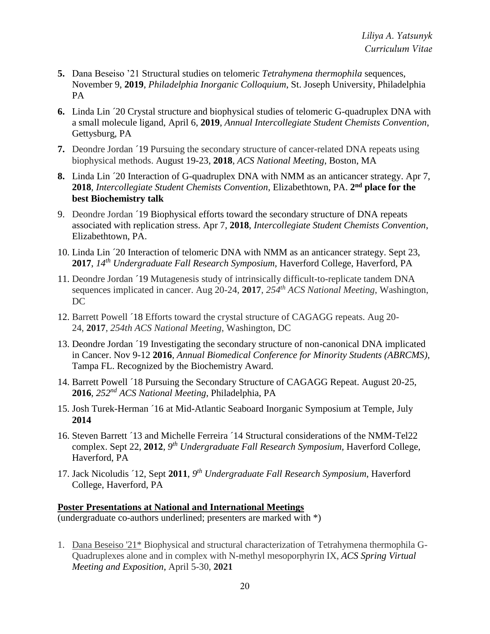- **5.** Dana Beseiso '21 Structural studies on telomeric *Tetrahymena thermophila* sequences, November 9, **2019**, *Philadelphia Inorganic Colloquium*, St. Joseph University, Philadelphia PA
- **6.** Linda Lin ´20 Crystal structure and biophysical studies of telomeric G-quadruplex DNA with a small molecule ligand, April 6, **2019**, *Annual Intercollegiate Student Chemists Convention*, Gettysburg, PA
- **7.** Deondre Jordan ´19 Pursuing the secondary structure of cancer-related DNA repeats using biophysical methods. August 19-23, **2018**, *ACS National Meeting*, Boston, MA
- **8.** Linda Lin ´20 Interaction of G-quadruplex DNA with NMM as an anticancer strategy. Apr 7, 2018, *Intercollegiate Student Chemists Convention*, Elizabethtown, PA. 2<sup>nd</sup> place for the **best Biochemistry talk**
- 9. Deondre Jordan ´19 Biophysical efforts toward the secondary structure of DNA repeats associated with replication stress. Apr 7, **2018**, *Intercollegiate Student Chemists Convention*, Elizabethtown, PA.
- 10. Linda Lin ´20 Interaction of telomeric DNA with NMM as an anticancer strategy. Sept 23, **2017**, *14th Undergraduate Fall Research Symposium,* Haverford College, Haverford, PA
- 11. Deondre Jordan ´19 Mutagenesis study of intrinsically difficult-to-replicate tandem DNA sequences implicated in cancer. Aug 20-24, **2017**, *254th ACS National Meeting*, Washington, DC
- 12. Barrett Powell ´18 Efforts toward the crystal structure of CAGAGG repeats. Aug 20- 24, **2017**, *254th ACS National Meeting*, Washington, DC
- 13. Deondre Jordan ´19 Investigating the secondary structure of non-canonical DNA implicated in Cancer. Nov 9-12 **2016**, *Annual Biomedical Conference for Minority Students (ABRCMS)*, Tampa FL. Recognized by the Biochemistry Award.
- 14. Barrett Powell ´18 Pursuing the Secondary Structure of CAGAGG Repeat. August 20-25, **2016**, *252nd ACS National Meeting*, Philadelphia, PA
- 15. Josh Turek-Herman ´16 at Mid-Atlantic Seaboard Inorganic Symposium at Temple, July **2014**
- 16. Steven Barrett ´13 and Michelle Ferreira ´14 Structural considerations of the NMM-Tel22 complex. Sept 22, **2012**, *9 th Undergraduate Fall Research Symposium,* Haverford College, Haverford, PA
- 17. Jack Nicoludis ´12, Sept **2011**, *9 th Undergraduate Fall Research Symposium*, Haverford College, Haverford, PA

#### **Poster Presentations at National and International Meetings**

(undergraduate co-authors underlined; presenters are marked with \*)

1. Dana Beseiso '21\* Biophysical and structural characterization of Tetrahymena thermophila G-Quadruplexes alone and in complex with N-methyl mesoporphyrin IX, *ACS Spring Virtual Meeting and Exposition*, April 5-30, **2021**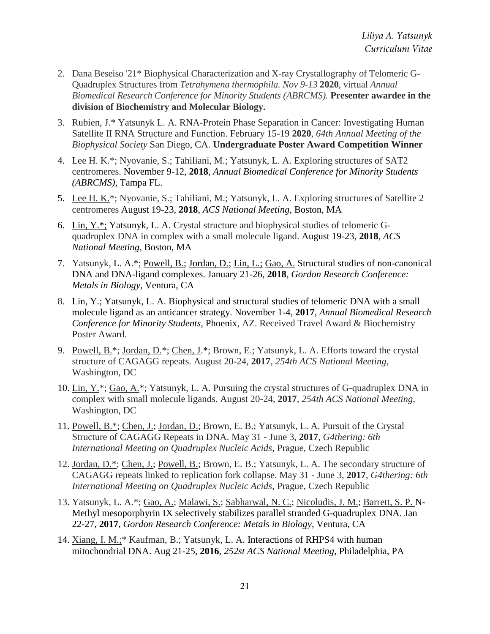- 2. Dana Beseiso '21\* Biophysical Characterization and X-ray Crystallography of Telomeric G-Quadruplex Structures from *Tetrahymena thermophila. Nov 9-13* **2020**, virtual *Annual Biomedical Research Conference for Minority Students (ABRCMS).* **Presenter awardee in the division of Biochemistry and Molecular Biology.**
- 3. Rubien, J.\* Yatsunyk L. A. RNA-Protein Phase Separation in Cancer: Investigating Human Satellite II RNA Structure and Function. February 15-19 **2020**, *64th Annual Meeting of the Biophysical Society* San Diego, CA. **Undergraduate Poster Award Competition Winner**
- 4. Lee H. K.\*; Nyovanie, S.; Tahiliani, M.; Yatsunyk, L. A. Exploring structures of SAT2 centromeres. November 9-12, **2018**, *Annual Biomedical Conference for Minority Students (ABRCMS)*, Tampa FL.
- 5. Lee H. K.\*; Nyovanie, S.; Tahiliani, M.; Yatsunyk, L. A. Exploring structures of Satellite 2 centromeres August 19-23, **2018**, *ACS National Meeting*, Boston, MA
- 6. Lin, Y.\*; Yatsunyk, L. A. Crystal structure and biophysical studies of telomeric Gquadruplex DNA in complex with a small molecule ligand. August 19-23, **2018**, *ACS National Meeting*, Boston, MA
- 7. Yatsunyk, L. A.\*; Powell, B.; Jordan, D.; Lin, L.; Gao, A. Structural studies of non-canonical DNA and DNA-ligand complexes. January 21-26, **2018**, *Gordon Research Conference: Metals in Biology*, Ventura, CA
- 8. Lin, Y.; Yatsunyk, L. A. Biophysical and structural studies of telomeric DNA with a small molecule ligand as an anticancer strategy. November 1-4, **2017**, *Annual Biomedical Research Conference for Minority Students,* Phoenix, AZ. Received Travel Award & Biochemistry Poster Award.
- 9. Powell, B.\*; Jordan, D.\*; Chen, J.\*; Brown, E.; Yatsunyk, L. A. Efforts toward the crystal structure of CAGAGG repeats. August 20-24, **2017**, *254th ACS National Meeting*, Washington, DC
- 10. Lin, Y.\*; Gao, A.\*; Yatsunyk, L. A. Pursuing the crystal structures of G-quadruplex DNA in complex with small molecule ligands. August 20-24, **2017**, *254th ACS National Meeting*, Washington, DC
- 11. Powell, B.\*; Chen, J.; Jordan, D.; Brown, E. B.; Yatsunyk, L. A. Pursuit of the Crystal Structure of CAGAGG Repeats in DNA. May 31 - June 3, **2017**, *G4thering: 6th International Meeting on Quadruplex Nucleic Acids*, Prague, Czech Republic
- 12. Jordan, D.\*; Chen, J.; Powell, B.; Brown, E. B.; Yatsunyk, L. A. The secondary structure of CAGAGG repeats linked to replication fork collapse. May 31 - June 3, **2017**, *G4thering: 6th International Meeting on Quadruplex Nucleic Acids*, Prague, Czech Republic
- 13. Yatsunyk, L. A.\*; Gao, A.; Malawi, S.; Sabharwal, N. C.; Nicoludis, J. M.; Barrett, S. P. N-Methyl mesoporphyrin IX selectively stabilizes parallel stranded G-quadruplex DNA. Jan 22-27, **2017**, *Gordon Research Conference: Metals in Biology*, Ventura, CA
- 14. Xiang, I. M.;\* Kaufman, B.; Yatsunyk, L. A. Interactions of RHPS4 with human mitochondrial DNA. Aug 21-25, **2016**, *252st ACS National Meeting*, Philadelphia, PA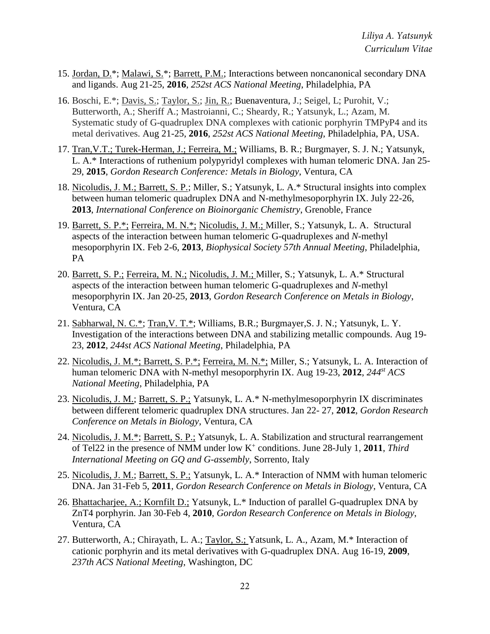- 15. Jordan, D.\*; Malawi, S.\*; Barrett, P.M.; Interactions between noncanonical secondary DNA and ligands. Aug 21-25, **2016**, *252st ACS National Meeting*, Philadelphia, PA
- 16. Boschi, E.\*; Davis, S.; Taylor, S.; Jin, R.; Buenaventura, J.; Seigel, L; Purohit, V.; Butterworth, A.; Sheriff A.; Mastroianni, C.; Sheardy, R.; Yatsunyk, L.; Azam, M. Systematic study of G-quadruplex DNA complexes with cationic porphyrin TMPyP4 and its metal derivatives. Aug 21-25, **2016**, *252st ACS National Meeting*, Philadelphia, PA, USA.
- 17. Tran,V.T.; Turek-Herman, J.; Ferreira, M.; Williams, B. R.; Burgmayer, S. J. N.; Yatsunyk, L. A.\* Interactions of ruthenium polypyridyl complexes with human telomeric DNA. Jan 25- 29, **2015**, *Gordon Research Conference: Metals in Biology*, Ventura, CA
- 18. Nicoludis, J. M.; Barrett, S. P.; Miller, S.; Yatsunyk, L. A.\* Structural insights into complex between human telomeric quadruplex DNA and N-methylmesoporphyrin IX. July 22-26, **2013**, *International Conference on Bioinorganic Chemistry*, Grenoble, France
- 19. Barrett, S. P.\*; Ferreira, M. N.\*; Nicoludis, J. M.; Miller, S.; Yatsunyk, L. A. Structural aspects of the interaction between human telomeric G-quadruplexes and *N*-methyl mesoporphyrin IX. Feb 2-6, **2013**, *Biophysical Society 57th Annual Meeting*, Philadelphia, PA
- 20. Barrett, S. P.; Ferreira, M. N.; Nicoludis, J. M.; Miller, S.; Yatsunyk, L. A.\* Structural aspects of the interaction between human telomeric G-quadruplexes and *N*-methyl mesoporphyrin IX. Jan 20-25, **2013**, *Gordon Research Conference on Metals in Biology*, Ventura, CA
- 21. Sabharwal, N. C.\*; Tran,V. T.\*; Williams, B.R.; Burgmayer,S. J. N.; Yatsunyk, L. Y. Investigation of the interactions between DNA and stabilizing metallic compounds. Aug 19- 23, **2012**, *244st ACS National Meeting*, Philadelphia, PA
- 22. Nicoludis, J. M.\*; Barrett, S. P.\*; Ferreira, M. N.\*; Miller, S.; Yatsunyk, L. A. Interaction of human telomeric DNA with N-methyl mesoporphyrin IX. Aug 19-23, **2012**, *244st ACS National Meeting*, Philadelphia, PA
- 23. Nicoludis, J. M.; Barrett, S. P.; Yatsunyk, L. A.\* N-methylmesoporphyrin IX discriminates between different telomeric quadruplex DNA structures. Jan 22- 27, **2012**, *Gordon Research Conference on Metals in Biology*, Ventura, CA
- 24. Nicoludis, J. M.\*; Barrett, S. P.; Yatsunyk, L. A. Stabilization and structural rearrangement of Tel22 in the presence of NMM under low K<sup>+</sup> conditions. June 28-July 1, **2011**, *Third International Meeting on GQ and G-assembly*, Sorrento, Italy
- 25. Nicoludis, J. M.; Barrett, S. P.; Yatsunyk, L. A.\* Interaction of NMM with human telomeric DNA. Jan 31-Feb 5, **2011**, *Gordon Research Conference on Metals in Biology*, Ventura, CA
- 26. Bhattacharjee, A.; Kornfilt D.; Yatsunyk, L.\* Induction of parallel G-quadruplex DNA by ZnT4 porphyrin. Jan 30-Feb 4, **2010**, *Gordon Research Conference on Metals in Biology*, Ventura, CA
- 27. Butterworth, A.; Chirayath, L. A.; Taylor, S.; Yatsunk, L. A., Azam, M.\* Interaction of cationic porphyrin and its metal derivatives with G-quadruplex DNA. Aug 16-19, **2009**, *237th ACS National Meeting*, Washington, DC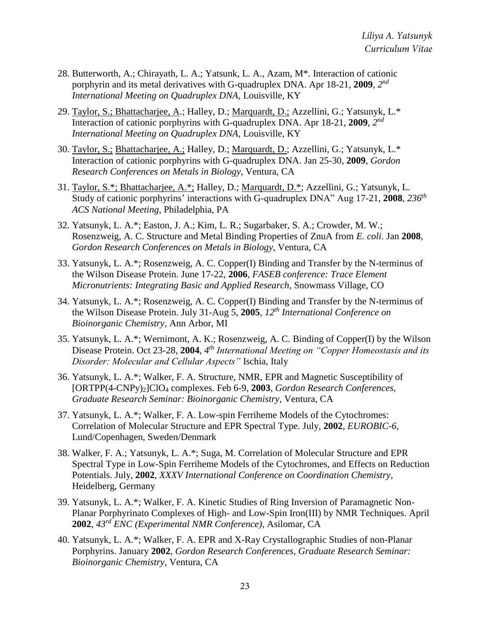- 28. Butterworth, A.; Chirayath, L. A.; Yatsunk, L. A., Azam, M\*. Interaction of cationic porphyrin and its metal derivatives with G-quadruplex DNA. Apr 18-21, **2009**, *2 nd International Meeting on Quadruplex DNA,* Louisville, KY
- 29. Taylor, S.; Bhattacharjee, A.; Halley, D.; Marquardt, D.; Azzellini, G.; Yatsunyk, L.\* Interaction of cationic porphyrins with G-quadruplex DNA. Apr 18-21, **2009**, *2 nd International Meeting on Quadruplex DNA,* Louisville, KY
- 30. Taylor, S.; Bhattacharjee, A.; Halley, D.; Marquardt, D.; Azzellini, G.; Yatsunyk, L.\* Interaction of cationic porphyrins with G-quadruplex DNA. Jan 25-30, **2009**, *Gordon Research Conferences on Metals in Biology*, Ventura, CA
- 31. Taylor, S.\*; Bhattacharjee, A.\*; Halley, D.; Marquardt, D.\*; Azzellini, G.; Yatsunyk, L. Study of cationic porphyrins' interactions with G-quadruplex DNA" Aug 17-21, **2008**, *236th ACS National Meeting*, Philadelphia, PA
- 32. Yatsunyk, L. A.\*; Easton, J. A.; Kim, L. R.; Sugarbaker, S. A.; Crowder, M. W.; Rosenzweig, A. C. Structure and Metal Binding Properties of ZnuA from *E. coli*. Jan **2008**, *Gordon Research Conferences on Metals in Biology*, Ventura, CA
- 33. Yatsunyk, L. A.\*; Rosenzweig, A. C. Copper(I) Binding and Transfer by the N-terminus of the Wilson Disease Protein. June 17-22, **2006**, *FASEB conference: Trace Element Micronutrients: Integrating Basic and Applied Research*, Snowmass Village, CO
- 34. Yatsunyk, L. A.\*; Rosenzweig, A. C. Copper(I) Binding and Transfer by the N-terminus of the Wilson Disease Protein. July 31-Aug 5, **2005**, *12th International Conference on Bioinorganic Chemistry*, Ann Arbor, MI
- 35. Yatsunyk, L. A.\*; Wernimont, A. K.; Rosenzweig, A. C. Binding of Copper(I) by the Wilson Disease Protein. Oct 23-28, **2004**, *4 th International Meeting on "Copper Homeostasis and its Disorder: Molecular and Cellular Aspects"* Ischia, Italy
- 36. Yatsunyk, L. A.\*; Walker, F. A. Structure, NMR, EPR and Magnetic Susceptibility of [ORTPP(4-CNPy)2]ClO<sup>4</sup> complexes. Feb 6-9, **2003**, *Gordon Research Conferences, Graduate Research Seminar: Bioinorganic Chemistry*, Ventura, CA
- 37. Yatsunyk, L. A.\*; Walker, F. A. Low-spin Ferriheme Models of the Cytochromes: Correlation of Molecular Structure and EPR Spectral Type. July, **2002**, *EUROBIC-6,* Lund/Copenhagen, Sweden/Denmark
- 38. Walker, F. A.; Yatsunyk, L. A.\*; Suga, M. Correlation of Molecular Structure and EPR Spectral Type in Low-Spin Ferriheme Models of the Cytochromes, and Effects on Reduction Potentials. July, **2002**, *XXXV International Conference on Coordination Chemistry*, Heidelberg, Germany
- 39. Yatsunyk, L. A.\*; Walker, F. A. Kinetic Studies of Ring Inversion of Paramagnetic Non-Planar Porphyrinato Complexes of High- and Low-Spin Iron(III) by NMR Techniques. April **2002**, *43rd ENC (Experimental NMR Conference)*, Asilomar, CA
- 40. Yatsunyk, L. A.\*; Walker, F. A. EPR and X-Ray Crystallographic Studies of non-Planar Porphyrins. January **2002**, *Gordon Research Conferences, Graduate Research Seminar: Bioinorganic Chemistry*, Ventura, CA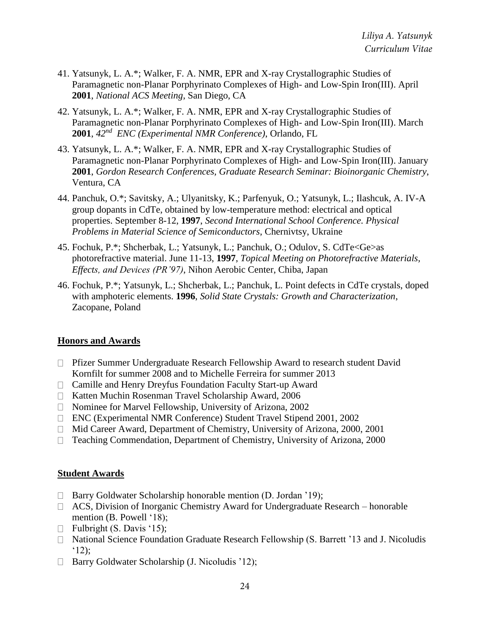- 41. Yatsunyk, L. A.\*; Walker, F. A. NMR, EPR and X-ray Crystallographic Studies of Paramagnetic non-Planar Porphyrinato Complexes of High- and Low-Spin Iron(III). April **2001**, *National ACS Meeting*, San Diego, CA
- 42. Yatsunyk, L. A.\*; Walker, F. A. NMR, EPR and X-ray Crystallographic Studies of Paramagnetic non-Planar Porphyrinato Complexes of High- and Low-Spin Iron(III). March **2001**, *42nd ENC (Experimental NMR Conference)*, Orlando, FL
- 43. Yatsunyk, L. A.\*; Walker, F. A. NMR, EPR and X-ray Crystallographic Studies of Paramagnetic non-Planar Porphyrinato Complexes of High- and Low-Spin Iron(III). January **2001**, *Gordon Research Conferences, Graduate Research Seminar: Bioinorganic Chemistry*, Ventura, CA
- 44. Panchuk, O.\*; Savitsky, A.; Ulyanitsky, K.; Parfenyuk, O.; Yatsunyk, L.; Ilashcuk, A. IV-A group dopants in CdTe, obtained by low-temperature method: electrical and optical properties. September 8-12, **1997**, *Second International School Conference. Physical Problems in Material Science of Semiconductors*, Chernivtsy, Ukraine
- 45. Fochuk, P.\*; Shcherbak, L.; Yatsunyk, L.; Panchuk, O.; Odulov, S. CdTe<Ge>as photorefractive material. June 11-13, **1997**, *Topical Meeting on Photorefractive Materials, Effects, and Devices (PR'97)*, Nihon Aerobic Center, Chiba, Japan
- 46. Fochuk, P.\*; Yatsunyk, L.; Shcherbak, L.; Panchuk, L. Point defects in CdTe crystals, doped with amphoteric elements. **1996**, *Solid State Crystals: Growth and Characterization*, Zacopane, Poland

#### **Honors and Awards**

- Pfizer Summer Undergraduate Research Fellowship Award to research student David Kornfilt for summer 2008 and to Michelle Ferreira for summer 2013
- Camille and Henry Dreyfus Foundation Faculty Start-up Award
- □ Katten Muchin Rosenman Travel Scholarship Award, 2006
- □ Nominee for Marvel Fellowship, University of Arizona, 2002
- ENC (Experimental NMR Conference) Student Travel Stipend 2001, 2002
- □ Mid Career Award, Department of Chemistry, University of Arizona, 2000, 2001
- Teaching Commendation, Department of Chemistry, University of Arizona, 2000

#### **Student Awards**

- □ Barry Goldwater Scholarship honorable mention (D. Jordan '19);
- ACS, Division of Inorganic Chemistry Award for Undergraduate Research honorable mention (B. Powell '18);
- $\Box$  Fulbright (S. Davis '15);
- □ National Science Foundation Graduate Research Fellowship (S. Barrett '13 and J. Nicoludis  $^{\circ}12$ :
- $\Box$  Barry Goldwater Scholarship (J. Nicoludis '12);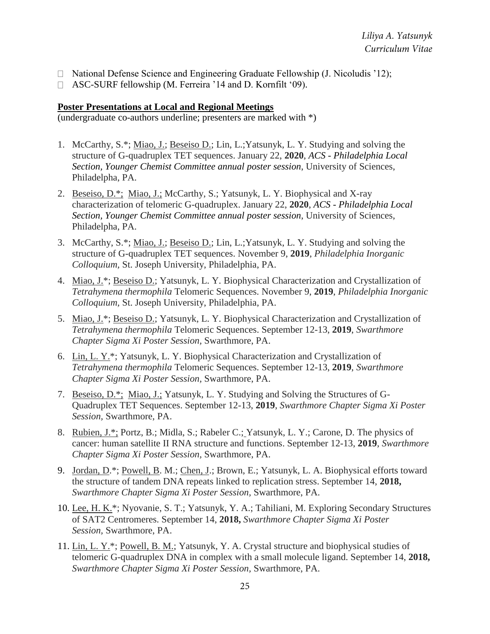- $\Box$  National Defense Science and Engineering Graduate Fellowship (J. Nicoludis '12);
- ASC-SURF fellowship (M. Ferreira '14 and D. Kornfilt '09).

#### **Poster Presentations at Local and Regional Meetings**

(undergraduate co-authors underline; presenters are marked with \*)

- 1. McCarthy, S.\*; Miao, J.; Beseiso D.; Lin, L.;Yatsunyk, L. Y. Studying and solving the structure of G-quadruplex TET sequences. January 22, **2020**, *ACS - Philadelphia Local Section, Younger Chemist Committee annual poster session*, University of Sciences, Philadelpha, PA.
- 2. Beseiso, D.\*; Miao, J.; McCarthy, S.; Yatsunyk, L. Y. Biophysical and X-ray characterization of telomeric G-quadruplex. January 22, **2020**, *ACS - Philadelphia Local Section, Younger Chemist Committee annual poster session*, University of Sciences, Philadelpha, PA.
- 3. McCarthy, S.\*; Miao, J.; Beseiso D.; Lin, L.;Yatsunyk, L. Y. Studying and solving the structure of G-quadruplex TET sequences. November 9, **2019**, *Philadelphia Inorganic Colloquium,* St. Joseph University, Philadelphia, PA.
- 4. Miao, J.\*; Beseiso D.; Yatsunyk, L. Y. Biophysical Characterization and Crystallization of *Tetrahymena thermophila* Telomeric Sequences. November 9, **2019**, *Philadelphia Inorganic Colloquium,* St. Joseph University, Philadelphia, PA.
- 5. Miao, J.\*; Beseiso D.; Yatsunyk, L. Y. Biophysical Characterization and Crystallization of *Tetrahymena thermophila* Telomeric Sequences. September 12-13, **2019**, *Swarthmore Chapter Sigma Xi Poster Session,* Swarthmore, PA.
- 6. Lin, L. Y.\*; Yatsunyk, L. Y. Biophysical Characterization and Crystallization of *Tetrahymena thermophila* Telomeric Sequences. September 12-13, **2019**, *Swarthmore Chapter Sigma Xi Poster Session,* Swarthmore, PA.
- 7. Beseiso, D.\*; Miao, J.; Yatsunyk, L. Y. Studying and Solving the Structures of G-Quadruplex TET Sequences. September 12-13, **2019**, *Swarthmore Chapter Sigma Xi Poster Session,* Swarthmore, PA.
- 8. Rubien, J.\*; Portz, B.; Midla, S.; Rabeler C.; Yatsunyk, L. Y.; Carone, D. The physics of cancer: human satellite II RNA structure and functions. September 12-13, **2019**, *Swarthmore Chapter Sigma Xi Poster Session,* Swarthmore, PA.
- 9. Jordan, D.\*; Powell, B. M.; Chen, J.; Brown, E.; Yatsunyk, L. A. Biophysical efforts toward the structure of tandem DNA repeats linked to replication stress. September 14, **2018,** *Swarthmore Chapter Sigma Xi Poster Session,* Swarthmore, PA.
- 10. Lee, H. K.\*; Nyovanie, S. T.; Yatsunyk, Y. A.; Tahiliani, M. Exploring Secondary Structures of SAT2 Centromeres. September 14, **2018,** *Swarthmore Chapter Sigma Xi Poster Session,* Swarthmore, PA.
- 11. Lin, L. Y.\*; Powell, B. M.; Yatsunyk, Y. A. Crystal structure and biophysical studies of telomeric G-quadruplex DNA in complex with a small molecule ligand. September 14, **2018,** *Swarthmore Chapter Sigma Xi Poster Session,* Swarthmore, PA.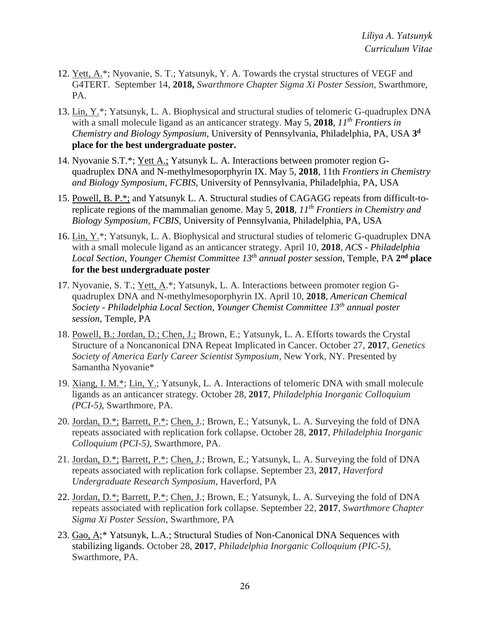- 12. Yett, A.\*; Nyovanie, S. T.; Yatsunyk, Y. A. Towards the crystal structures of VEGF and G4TERT. September 14, **2018,** *Swarthmore Chapter Sigma Xi Poster Session,* Swarthmore, PA.
- 13. Lin, Y.\*; Yatsunyk, L. A. Biophysical and structural studies of telomeric G-quadruplex DNA with a small molecule ligand as an anticancer strategy. May 5, **2018**, *11th Frontiers in Chemistry and Biology Symposium*, University of Pennsylvania, Philadelphia, PA, USA **3 d place for the best undergraduate poster.**
- 14. Nyovanie S.T.\*; Yett A.; Yatsunyk L. A. Interactions between promoter region Gquadruplex DNA and N-methylmesoporphyrin IX. May 5, **2018**, 11th *Frontiers in Chemistry and Biology Symposium, FCBIS,* University of Pennsylvania, Philadelphia, PA, USA
- 15. Powell, B. P.\*; and Yatsunyk L. A. Structural studies of CAGAGG repeats from difficult-toreplicate regions of the mammalian genome. May 5, **2018**, *11th Frontiers in Chemistry and Biology Symposium, FCBIS,* University of Pennsylvania, Philadelphia, PA, USA
- 16. Lin, Y.\*; Yatsunyk, L. A. Biophysical and structural studies of telomeric G-quadruplex DNA with a small molecule ligand as an anticancer strategy. April 10, **2018**, *ACS - Philadelphia*  Local Section, Younger Chemist Committee 13<sup>th</sup> annual poster session, Temple, PA 2<sup>nd</sup> place **for the best undergraduate poster**
- 17. Nyovanie, S. T.; Yett, A.\*; Yatsunyk, L. A. Interactions between promoter region Gquadruplex DNA and N-methylmesoporphyrin IX. April 10, **2018**, *American Chemical Society - Philadelphia Local Section, Younger Chemist Committee 13th annual poster session*, Temple, PA
- 18. Powell, B.; Jordan, D.; Chen, J.; Brown, E.; Yatsunyk, L. A. Efforts towards the Crystal Structure of a Noncanonical DNA Repeat Implicated in Cancer. October 27, **2017**, *Genetics Society of America Early Career Scientist Symposium*, New York, NY. Presented by Samantha Nyovanie\*
- 19. Xiang, I. M.\*; Lin, Y.; Yatsunyk, L. A. Interactions of telomeric DNA with small molecule ligands as an anticancer strategy. October 28, **2017**, *Philadelphia Inorganic Colloquium (PCI-5)*, Swarthmore, PA.
- 20. Jordan, D.\*; Barrett, P.\*; Chen, J.; Brown, E.; Yatsunyk, L. A. Surveying the fold of DNA repeats associated with replication fork collapse. October 28, **2017**, *Philadelphia Inorganic Colloquium (PCI-5)*, Swarthmore, PA.
- 21. Jordan, D.\*; Barrett, P.\*; Chen, J.; Brown, E.; Yatsunyk, L. A. Surveying the fold of DNA repeats associated with replication fork collapse. September 23, **2017**, *Haverford Undergraduate Research Symposium*, Haverford, PA
- 22. Jordan, D.\*; Barrett, P.\*; Chen, J.; Brown, E.; Yatsunyk, L. A. Surveying the fold of DNA repeats associated with replication fork collapse. September 22, **2017**, *Swarthmore Chapter Sigma Xi Poster Session,* Swarthmore, PA
- 23. Gao, A;\* Yatsunyk, L.A.; Structural Studies of Non-Canonical DNA Sequences with stabilizing ligands. October 28, **2017**, *Philadelphia Inorganic Colloquium (PIC-5)*, Swarthmore, PA.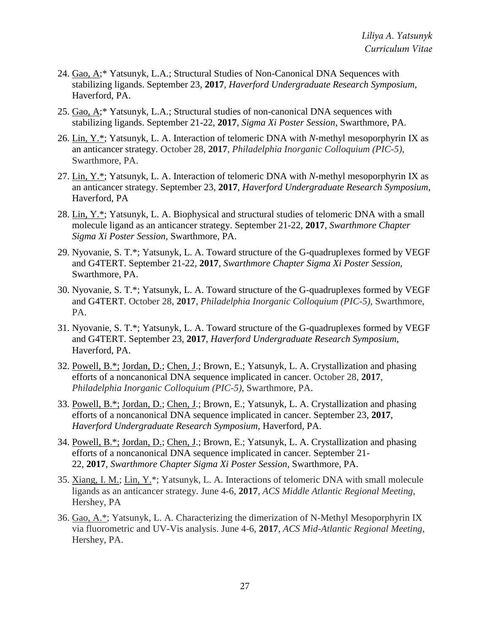- 24. Gao, A;\* Yatsunyk, L.A.; Structural Studies of Non-Canonical DNA Sequences with stabilizing ligands. September 23, **2017**, *Haverford Undergraduate Research Symposium*, Haverford, PA.
- 25. Gao, A;\* Yatsunyk, L.A.; Structural studies of non-canonical DNA sequences with stabilizing ligands. September 21-22, **2017**, *Sigma Xi Poster Session*, Swarthmore, PA.
- 26. Lin, Y.\*; Yatsunyk, L. A. Interaction of telomeric DNA with *N*-methyl mesoporphyrin IX as an anticancer strategy. October 28, **2017**, *Philadelphia Inorganic Colloquium (PIC-5)*, Swarthmore, PA.
- 27. Lin, Y.\*; Yatsunyk, L. A. Interaction of telomeric DNA with *N*-methyl mesoporphyrin IX as an anticancer strategy. September 23, **2017**, *Haverford Undergraduate Research Symposium*, Haverford, PA
- 28. Lin, Y.\*; Yatsunyk, L. A. Biophysical and structural studies of telomeric DNA with a small molecule ligand as an anticancer strategy. September 21-22, **2017**, *Swarthmore Chapter Sigma Xi Poster Session,* Swarthmore, PA.
- 29. Nyovanie, S. T.\*; Yatsunyk, L. A. Toward structure of the G-quadruplexes formed by VEGF and G4TERT. September 21-22, **2017**, *Swarthmore Chapter Sigma Xi Poster Session,*  Swarthmore, PA.
- 30. Nyovanie, S. T.\*; Yatsunyk, L. A. Toward structure of the G-quadruplexes formed by VEGF and G4TERT. October 28, **2017**, *Philadelphia Inorganic Colloquium (PIC-5),* Swarthmore, PA.
- 31. Nyovanie, S. T.\*; Yatsunyk, L. A. Toward structure of the G-quadruplexes formed by VEGF and G4TERT. September 23, **2017**, *Haverford Undergraduate Research Symposium*, Haverford, PA.
- 32. Powell, B.\*; Jordan, D.; Chen, J.; Brown, E.; Yatsunyk, L. A. Crystallization and phasing efforts of a noncanonical DNA sequence implicated in cancer. October 28, **2017**, *Philadelphia Inorganic Colloquium (PIC-5)*, Swarthmore, PA.
- 33. Powell, B.\*; Jordan, D.; Chen, J.; Brown, E.; Yatsunyk, L. A. Crystallization and phasing efforts of a noncanonical DNA sequence implicated in cancer. September 23, **2017**, *Haverford Undergraduate Research Symposium*, Haverford, PA.
- 34. Powell, B.\*; Jordan, D.; Chen, J.; Brown, E.; Yatsunyk, L. A. Crystallization and phasing efforts of a noncanonical DNA sequence implicated in cancer. September 21- 22, **2017**, *Swarthmore Chapter Sigma Xi Poster Session,* Swarthmore, PA.
- 35. Xiang, I. M.; Lin, Y.\*; Yatsunyk, L. A. Interactions of telomeric DNA with small molecule ligands as an anticancer strategy. June 4-6, **2017**, *ACS Middle Atlantic Regional Meeting*, Hershey, PA
- 36. Gao, A.\*; Yatsunyk, L. A. Characterizing the dimerization of N-Methyl Mesoporphyrin IX via fluorometric and UV-Vis analysis. June 4-6, **2017**, *ACS Mid-Atlantic Regional Meeting*, Hershey, PA.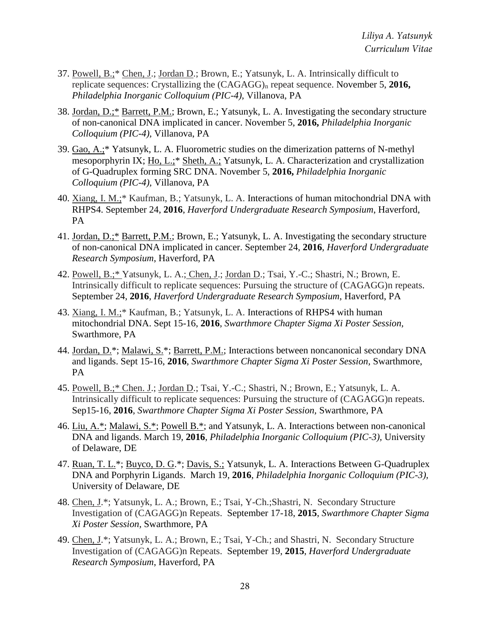- 37. Powell, B.;\* Chen, J.; Jordan D.; Brown, E.; Yatsunyk, L. A. Intrinsically difficult to replicate sequences: Crystallizing the (CAGAGG)<sup>n</sup> repeat sequence. November 5, **2016,**  *Philadelphia Inorganic Colloquium (PIC-4),* Villanova, PA
- 38. Jordan, D.;\* Barrett, P.M.; Brown, E.; Yatsunyk, L. A. Investigating the secondary structure of non-canonical DNA implicated in cancer. November 5, **2016,** *Philadelphia Inorganic Colloquium (PIC-4),* Villanova, PA
- 39. Gao, A.;\* Yatsunyk, L. A. Fluorometric studies on the dimerization patterns of N-methyl mesoporphyrin IX; Ho, L.;\* Sheth, A.; Yatsunyk, L. A. Characterization and crystallization of G-Quadruplex forming SRC DNA. November 5, **2016,** *Philadelphia Inorganic Colloquium (PIC-4),* Villanova, PA
- 40. Xiang, I. M.;\* Kaufman, B.; Yatsunyk, L. A. Interactions of human mitochondrial DNA with RHPS4. September 24, **2016**, *Haverford Undergraduate Research Symposium*, Haverford, PA
- 41. Jordan, D.;\* Barrett, P.M.; Brown, E.; Yatsunyk, L. A. Investigating the secondary structure of non-canonical DNA implicated in cancer. September 24, **2016**, *Haverford Undergraduate Research Symposium*, Haverford, PA
- 42. Powell, B.;\* Yatsunyk, L. A.; Chen, J.; Jordan D.; Tsai, Y.-C.; Shastri, N.; Brown, E. Intrinsically difficult to replicate sequences: Pursuing the structure of (CAGAGG)n repeats. September 24, **2016**, *Haverford Undergraduate Research Symposium*, Haverford, PA
- 43. Xiang, I. M.;\* Kaufman, B.; Yatsunyk, L. A. Interactions of RHPS4 with human mitochondrial DNA. Sept 15-16, **2016**, *Swarthmore Chapter Sigma Xi Poster Session,*  Swarthmore, PA
- 44. Jordan, D.\*; Malawi, S.\*; Barrett, P.M.; Interactions between noncanonical secondary DNA and ligands. Sept 15-16, **2016**, *Swarthmore Chapter Sigma Xi Poster Session,* Swarthmore, PA
- 45. Powell, B.;\* Chen. J.; Jordan D.; Tsai, Y.-C.; Shastri, N.; Brown, E.; Yatsunyk, L. A. Intrinsically difficult to replicate sequences: Pursuing the structure of (CAGAGG)n repeats. Sep15-16, **2016**, *Swarthmore Chapter Sigma Xi Poster Session,* Swarthmore, PA
- 46. Liu, A.\*; Malawi, S.\*; Powell B.\*; and Yatsunyk, L. A. Interactions between non-canonical DNA and ligands. March 19, **2016**, *Philadelphia Inorganic Colloquium (PIC-3),* University of Delaware, DE
- 47. Ruan, T. L.\*; Buyco, D. G.\*; Davis, S.; Yatsunyk, L. A. Interactions Between G-Quadruplex DNA and Porphyrin Ligands. March 19, **2016**, *Philadelphia Inorganic Colloquium (PIC-3),*  University of Delaware, DE
- 48. Chen, J.\*; Yatsunyk, L. A.; Brown, E.; Tsai, Y-Ch.;Shastri, N. Secondary Structure Investigation of (CAGAGG)n Repeats. September 17-18, **2015**, *Swarthmore Chapter Sigma Xi Poster Session,* Swarthmore, PA
- 49. Chen, J.\*; Yatsunyk, L. A.; Brown, E.; Tsai, Y-Ch.; and Shastri, N. Secondary Structure Investigation of (CAGAGG)n Repeats. September 19, **2015**, *Haverford Undergraduate Research Symposium*, Haverford, PA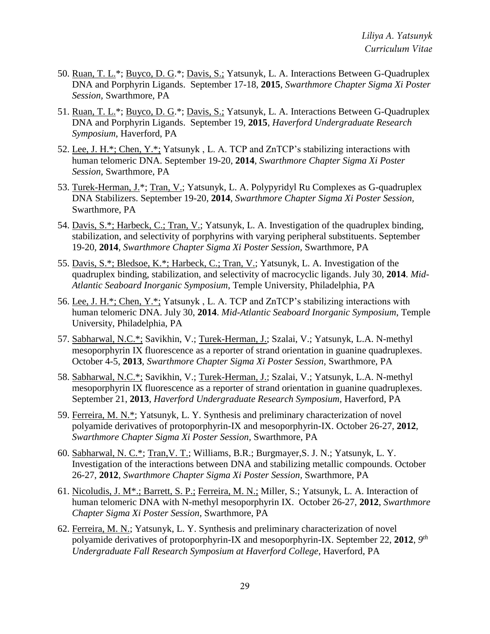- 50. Ruan, T. L.\*; Buyco, D. G.\*; Davis, S.; Yatsunyk, L. A. Interactions Between G-Quadruplex DNA and Porphyrin Ligands. September 17-18, **2015**, *Swarthmore Chapter Sigma Xi Poster Session,* Swarthmore, PA
- 51. Ruan, T. L.\*; Buyco, D. G.\*; Davis, S.; Yatsunyk, L. A. Interactions Between G-Quadruplex DNA and Porphyrin Ligands. September 19, **2015**, *Haverford Undergraduate Research Symposium*, Haverford, PA
- 52. Lee, J. H.\*; Chen, Y.\*; Yatsunyk , L. A. TCP and ZnTCP's stabilizing interactions with human telomeric DNA. September 19-20, **2014**, *Swarthmore Chapter Sigma Xi Poster Session,* Swarthmore, PA
- 53. Turek-Herman, J.\*; Tran, V.; Yatsunyk, L. A. Polypyridyl Ru Complexes as G-quadruplex DNA Stabilizers. September 19-20, **2014**, *Swarthmore Chapter Sigma Xi Poster Session,*  Swarthmore, PA
- 54. Davis, S.\*; Harbeck, C.; Tran, V.; Yatsunyk, L. A. Investigation of the quadruplex binding, stabilization, and selectivity of porphyrins with varying peripheral substituents. September 19-20, **2014**, *Swarthmore Chapter Sigma Xi Poster Session,* Swarthmore, PA
- 55. Davis, S.\*; Bledsoe, K.\*; Harbeck, C.; Tran, V.; Yatsunyk, L. A. Investigation of the quadruplex binding, stabilization, and selectivity of macrocyclic ligands. July 30, **2014**. *Mid-Atlantic Seaboard Inorganic Symposium*, Temple University, Philadelphia, PA
- 56. Lee, J. H.\*; Chen, Y.\*; Yatsunyk , L. A. TCP and ZnTCP's stabilizing interactions with human telomeric DNA. July 30, **2014**. *Mid-Atlantic Seaboard Inorganic Symposium*, Temple University, Philadelphia, PA
- 57. Sabharwal, N.C.\*; Savikhin, V.; Turek-Herman, J.; Szalai, V.; Yatsunyk, L.A. N-methyl mesoporphyrin IX fluorescence as a reporter of strand orientation in guanine quadruplexes. October 4-5, **2013**, *Swarthmore Chapter Sigma Xi Poster Session,* Swarthmore, PA
- 58. Sabharwal, N.C.\*; Savikhin, V.; Turek-Herman, J.; Szalai, V.; Yatsunyk, L.A. N-methyl mesoporphyrin IX fluorescence as a reporter of strand orientation in guanine quadruplexes. September 21, **2013**, *Haverford Undergraduate Research Symposium*, Haverford, PA
- 59. Ferreira, M. N.\*; Yatsunyk, L. Y. Synthesis and preliminary characterization of novel polyamide derivatives of protoporphyrin-IX and mesoporphyrin-IX. October 26-27, **2012**, *Swarthmore Chapter Sigma Xi Poster Session,* Swarthmore, PA
- 60. Sabharwal, N. C.\*; Tran,V. T.; Williams, B.R.; Burgmayer,S. J. N.; Yatsunyk, L. Y. Investigation of the interactions between DNA and stabilizing metallic compounds. October 26-27, **2012**, *Swarthmore Chapter Sigma Xi Poster Session,* Swarthmore, PA
- 61. Nicoludis, J. M\*.; Barrett, S. P.; Ferreira, M. N.; Miller, S.; Yatsunyk, L. A. Interaction of human telomeric DNA with N-methyl mesoporphyrin IX. October 26-27, **2012**, *Swarthmore Chapter Sigma Xi Poster Session,* Swarthmore, PA
- 62. Ferreira, M. N.; Yatsunyk, L. Y. Synthesis and preliminary characterization of novel polyamide derivatives of protoporphyrin-IX and mesoporphyrin-IX. September 22, 2012, 9<sup>th</sup> *Undergraduate Fall Research Symposium at Haverford College*, Haverford, PA